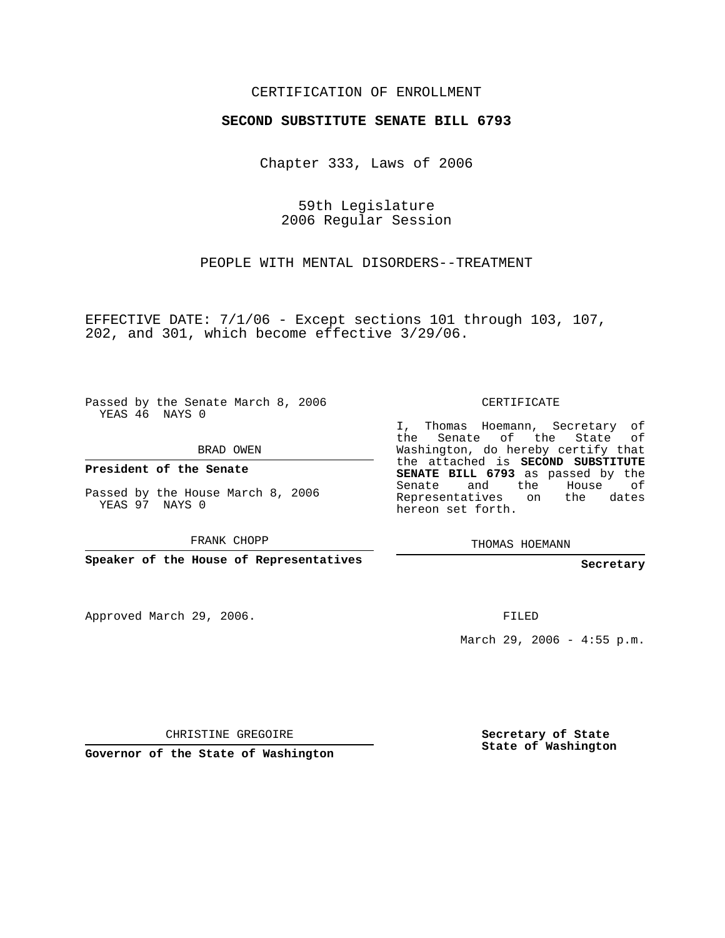## CERTIFICATION OF ENROLLMENT

#### **SECOND SUBSTITUTE SENATE BILL 6793**

Chapter 333, Laws of 2006

59th Legislature 2006 Regular Session

PEOPLE WITH MENTAL DISORDERS--TREATMENT

EFFECTIVE DATE: 7/1/06 - Except sections 101 through 103, 107, 202, and 301, which become effective 3/29/06.

Passed by the Senate March 8, 2006 YEAS 46 NAYS 0

BRAD OWEN

**President of the Senate**

Passed by the House March 8, 2006 YEAS 97 NAYS 0

FRANK CHOPP

**Speaker of the House of Representatives**

Approved March 29, 2006.

CERTIFICATE

I, Thomas Hoemann, Secretary of the Senate of the State of Washington, do hereby certify that the attached is **SECOND SUBSTITUTE SENATE BILL 6793** as passed by the Senate and the House of Representatives on the dates hereon set forth.

THOMAS HOEMANN

**Secretary**

FILED

March 29, 2006 -  $4:55$  p.m.

CHRISTINE GREGOIRE

**Governor of the State of Washington**

**Secretary of State State of Washington**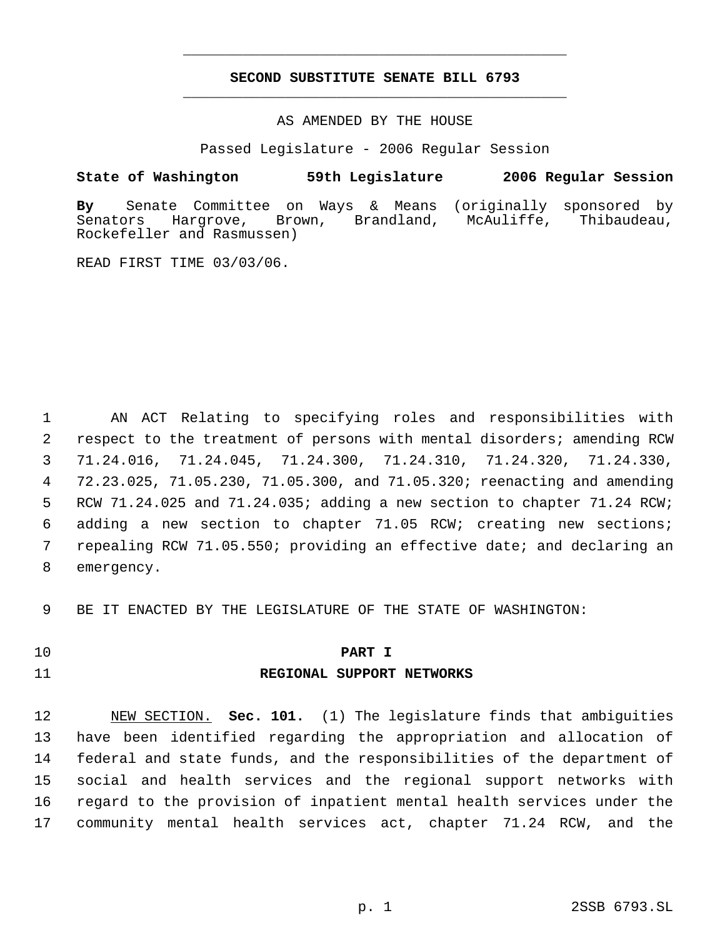# **SECOND SUBSTITUTE SENATE BILL 6793** \_\_\_\_\_\_\_\_\_\_\_\_\_\_\_\_\_\_\_\_\_\_\_\_\_\_\_\_\_\_\_\_\_\_\_\_\_\_\_\_\_\_\_\_\_

\_\_\_\_\_\_\_\_\_\_\_\_\_\_\_\_\_\_\_\_\_\_\_\_\_\_\_\_\_\_\_\_\_\_\_\_\_\_\_\_\_\_\_\_\_

AS AMENDED BY THE HOUSE

Passed Legislature - 2006 Regular Session

### **State of Washington 59th Legislature 2006 Regular Session**

**By** Senate Committee on Ways & Means (originally sponsored by Hargrove, Brown, Brandland, McAuliffe, Thibaudeau, Rockefeller and Rasmussen)

READ FIRST TIME 03/03/06.

 AN ACT Relating to specifying roles and responsibilities with respect to the treatment of persons with mental disorders; amending RCW 71.24.016, 71.24.045, 71.24.300, 71.24.310, 71.24.320, 71.24.330, 72.23.025, 71.05.230, 71.05.300, and 71.05.320; reenacting and amending RCW 71.24.025 and 71.24.035; adding a new section to chapter 71.24 RCW; adding a new section to chapter 71.05 RCW; creating new sections; repealing RCW 71.05.550; providing an effective date; and declaring an emergency.

BE IT ENACTED BY THE LEGISLATURE OF THE STATE OF WASHINGTON:

#### **PART I**

#### **REGIONAL SUPPORT NETWORKS**

 NEW SECTION. **Sec. 101.** (1) The legislature finds that ambiguities have been identified regarding the appropriation and allocation of federal and state funds, and the responsibilities of the department of social and health services and the regional support networks with regard to the provision of inpatient mental health services under the community mental health services act, chapter 71.24 RCW, and the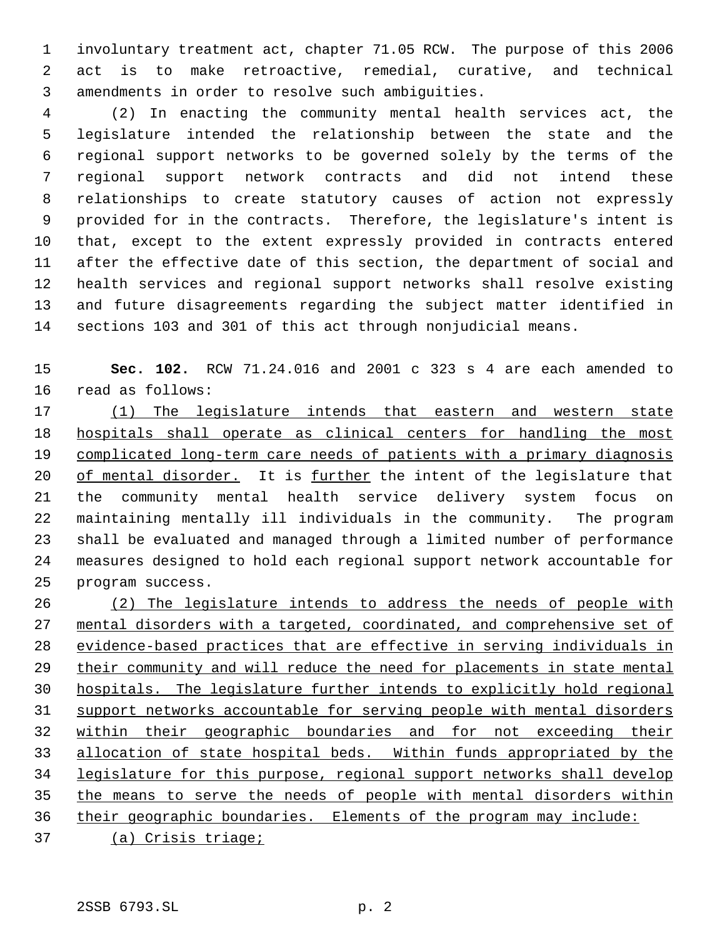involuntary treatment act, chapter 71.05 RCW. The purpose of this 2006 act is to make retroactive, remedial, curative, and technical amendments in order to resolve such ambiguities.

 (2) In enacting the community mental health services act, the legislature intended the relationship between the state and the regional support networks to be governed solely by the terms of the regional support network contracts and did not intend these relationships to create statutory causes of action not expressly provided for in the contracts. Therefore, the legislature's intent is that, except to the extent expressly provided in contracts entered after the effective date of this section, the department of social and health services and regional support networks shall resolve existing and future disagreements regarding the subject matter identified in sections 103 and 301 of this act through nonjudicial means.

 **Sec. 102.** RCW 71.24.016 and 2001 c 323 s 4 are each amended to read as follows:

 (1) The legislature intends that eastern and western state hospitals shall operate as clinical centers for handling the most 19 complicated long-term care needs of patients with a primary diagnosis of mental disorder. It is further the intent of the legislature that the community mental health service delivery system focus on maintaining mentally ill individuals in the community. The program shall be evaluated and managed through a limited number of performance measures designed to hold each regional support network accountable for program success.

 (2) The legislature intends to address the needs of people with 27 mental disorders with a targeted, coordinated, and comprehensive set of evidence-based practices that are effective in serving individuals in 29 their community and will reduce the need for placements in state mental hospitals. The legislature further intends to explicitly hold regional support networks accountable for serving people with mental disorders within their geographic boundaries and for not exceeding their allocation of state hospital beds. Within funds appropriated by the legislature for this purpose, regional support networks shall develop the means to serve the needs of people with mental disorders within 36 their geographic boundaries. Elements of the program may include:

(a) Crisis triage;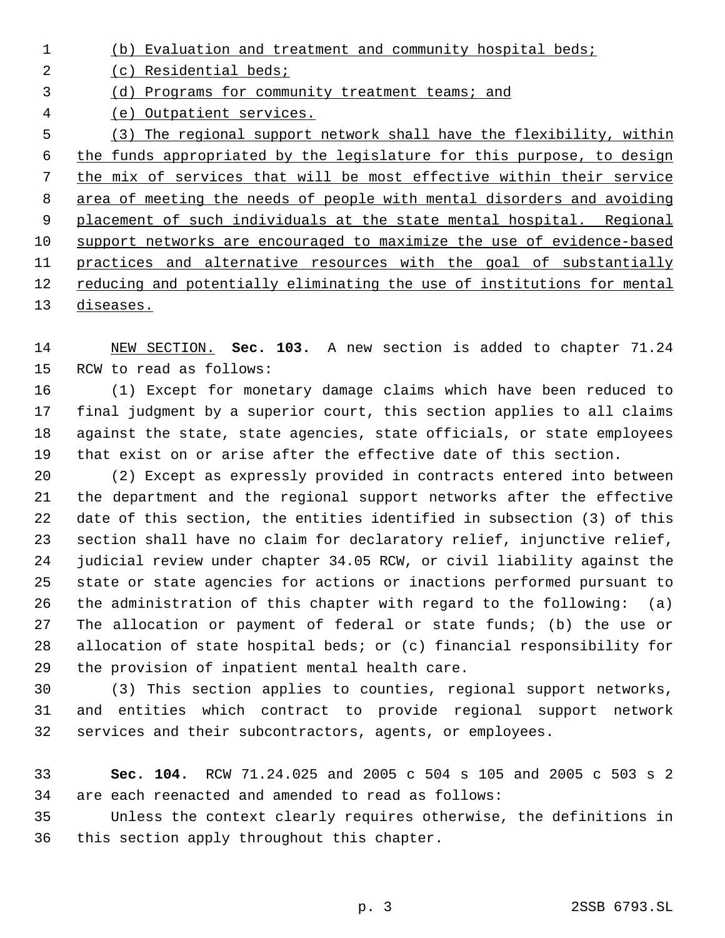(b) Evaluation and treatment and community hospital beds; (c) Residential beds; (d) Programs for community treatment teams; and (e) Outpatient services. (3) The regional support network shall have the flexibility, within the funds appropriated by the legislature for this purpose, to design the mix of services that will be most effective within their service area of meeting the needs of people with mental disorders and avoiding 9 placement of such individuals at the state mental hospital. Regional support networks are encouraged to maximize the use of evidence-based practices and alternative resources with the goal of substantially reducing and potentially eliminating the use of institutions for mental diseases.

 NEW SECTION. **Sec. 103.** A new section is added to chapter 71.24 RCW to read as follows:

 (1) Except for monetary damage claims which have been reduced to final judgment by a superior court, this section applies to all claims against the state, state agencies, state officials, or state employees that exist on or arise after the effective date of this section.

 (2) Except as expressly provided in contracts entered into between the department and the regional support networks after the effective date of this section, the entities identified in subsection (3) of this section shall have no claim for declaratory relief, injunctive relief, judicial review under chapter 34.05 RCW, or civil liability against the state or state agencies for actions or inactions performed pursuant to the administration of this chapter with regard to the following: (a) The allocation or payment of federal or state funds; (b) the use or allocation of state hospital beds; or (c) financial responsibility for the provision of inpatient mental health care.

 (3) This section applies to counties, regional support networks, and entities which contract to provide regional support network services and their subcontractors, agents, or employees.

 **Sec. 104.** RCW 71.24.025 and 2005 c 504 s 105 and 2005 c 503 s 2 are each reenacted and amended to read as follows:

 Unless the context clearly requires otherwise, the definitions in this section apply throughout this chapter.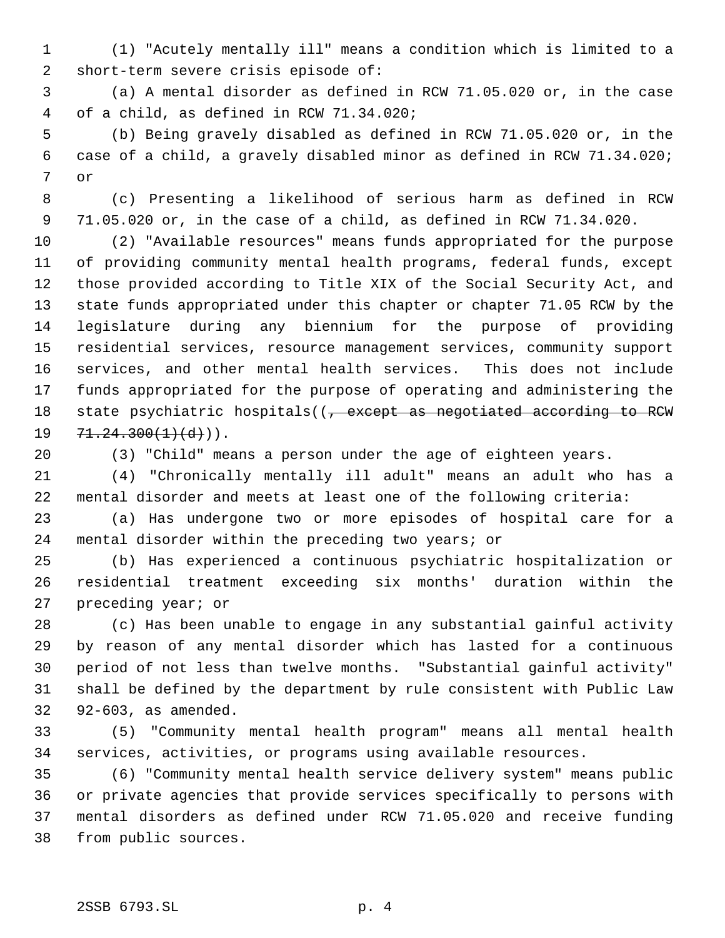(1) "Acutely mentally ill" means a condition which is limited to a short-term severe crisis episode of:

 (a) A mental disorder as defined in RCW 71.05.020 or, in the case of a child, as defined in RCW 71.34.020;

 (b) Being gravely disabled as defined in RCW 71.05.020 or, in the case of a child, a gravely disabled minor as defined in RCW 71.34.020; or

 (c) Presenting a likelihood of serious harm as defined in RCW 71.05.020 or, in the case of a child, as defined in RCW 71.34.020.

 (2) "Available resources" means funds appropriated for the purpose of providing community mental health programs, federal funds, except those provided according to Title XIX of the Social Security Act, and state funds appropriated under this chapter or chapter 71.05 RCW by the legislature during any biennium for the purpose of providing residential services, resource management services, community support services, and other mental health services. This does not include funds appropriated for the purpose of operating and administering the 18 state psychiatric hospitals((, except as negotiated according to RCW  $19 \quad 71.24.300(1)(d)$ ).

(3) "Child" means a person under the age of eighteen years.

 (4) "Chronically mentally ill adult" means an adult who has a mental disorder and meets at least one of the following criteria:

 (a) Has undergone two or more episodes of hospital care for a mental disorder within the preceding two years; or

 (b) Has experienced a continuous psychiatric hospitalization or residential treatment exceeding six months' duration within the preceding year; or

 (c) Has been unable to engage in any substantial gainful activity by reason of any mental disorder which has lasted for a continuous period of not less than twelve months. "Substantial gainful activity" shall be defined by the department by rule consistent with Public Law 92-603, as amended.

 (5) "Community mental health program" means all mental health services, activities, or programs using available resources.

 (6) "Community mental health service delivery system" means public or private agencies that provide services specifically to persons with mental disorders as defined under RCW 71.05.020 and receive funding from public sources.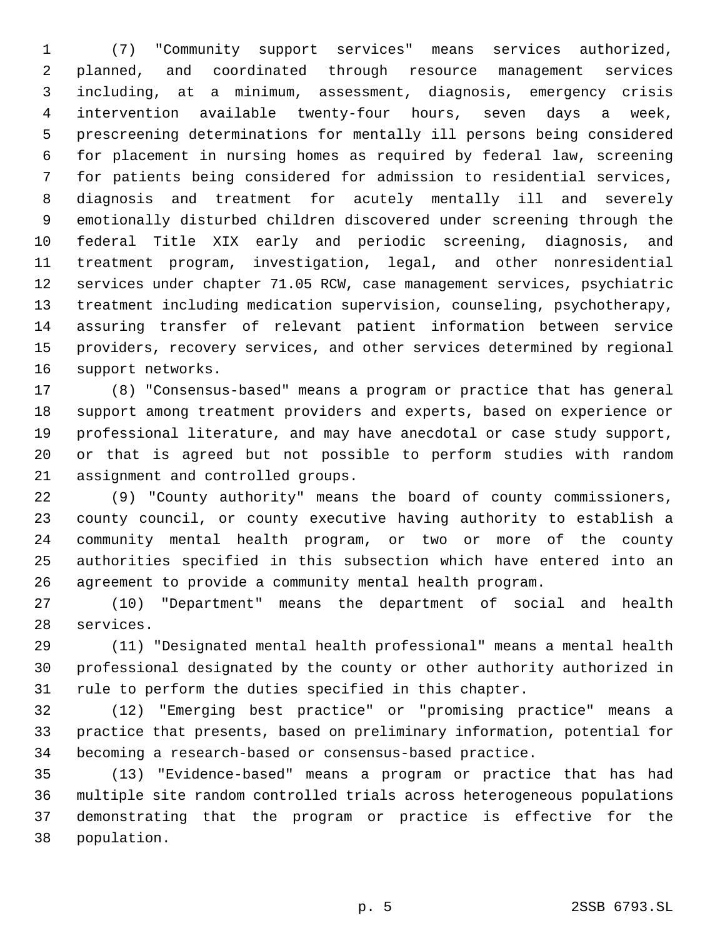(7) "Community support services" means services authorized, planned, and coordinated through resource management services including, at a minimum, assessment, diagnosis, emergency crisis intervention available twenty-four hours, seven days a week, prescreening determinations for mentally ill persons being considered for placement in nursing homes as required by federal law, screening for patients being considered for admission to residential services, diagnosis and treatment for acutely mentally ill and severely emotionally disturbed children discovered under screening through the federal Title XIX early and periodic screening, diagnosis, and treatment program, investigation, legal, and other nonresidential services under chapter 71.05 RCW, case management services, psychiatric treatment including medication supervision, counseling, psychotherapy, assuring transfer of relevant patient information between service providers, recovery services, and other services determined by regional support networks.

 (8) "Consensus-based" means a program or practice that has general support among treatment providers and experts, based on experience or professional literature, and may have anecdotal or case study support, or that is agreed but not possible to perform studies with random assignment and controlled groups.

 (9) "County authority" means the board of county commissioners, county council, or county executive having authority to establish a community mental health program, or two or more of the county authorities specified in this subsection which have entered into an agreement to provide a community mental health program.

 (10) "Department" means the department of social and health services.

 (11) "Designated mental health professional" means a mental health professional designated by the county or other authority authorized in rule to perform the duties specified in this chapter.

 (12) "Emerging best practice" or "promising practice" means a practice that presents, based on preliminary information, potential for becoming a research-based or consensus-based practice.

 (13) "Evidence-based" means a program or practice that has had multiple site random controlled trials across heterogeneous populations demonstrating that the program or practice is effective for the population.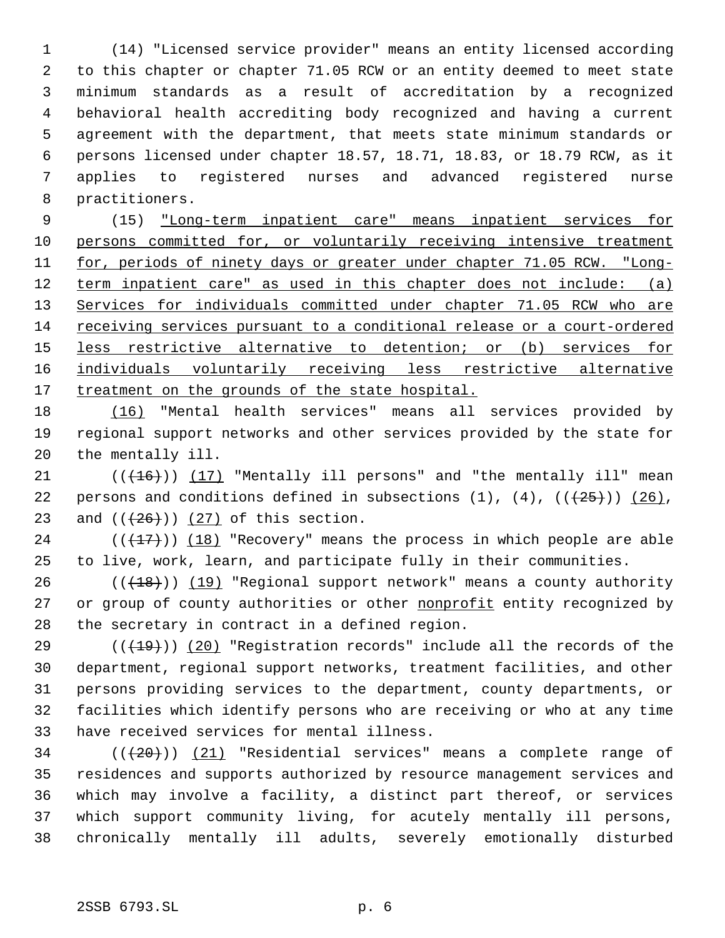(14) "Licensed service provider" means an entity licensed according to this chapter or chapter 71.05 RCW or an entity deemed to meet state minimum standards as a result of accreditation by a recognized behavioral health accrediting body recognized and having a current agreement with the department, that meets state minimum standards or persons licensed under chapter 18.57, 18.71, 18.83, or 18.79 RCW, as it applies to registered nurses and advanced registered nurse practitioners.

 (15) "Long-term inpatient care" means inpatient services for 10 persons committed for, or voluntarily receiving intensive treatment 11 for, periods of ninety days or greater under chapter 71.05 RCW. "Long-12 term inpatient care" as used in this chapter does not include: (a) 13 Services for individuals committed under chapter 71.05 RCW who are receiving services pursuant to a conditional release or a court-ordered less restrictive alternative to detention; or (b) services for individuals voluntarily receiving less restrictive alternative 17 treatment on the grounds of the state hospital.

 (16) "Mental health services" means all services provided by regional support networks and other services provided by the state for the mentally ill.

21  $((+16))$   $(17)$  "Mentally ill persons" and "the mentally ill" mean 22 persons and conditions defined in subsections  $(1)$ ,  $(4)$ ,  $((+25))$   $(26)$ , 23 and  $((+26))$   $(27)$  of this section.

 $(1, 17)$  ( $18$ ) "Recovery" means the process in which people are able to live, work, learn, and participate fully in their communities.

 $((+18))$   $(19)$  "Regional support network" means a county authority 27 or group of county authorities or other nonprofit entity recognized by the secretary in contract in a defined region.

 $((+19))$  (20) "Registration records" include all the records of the department, regional support networks, treatment facilities, and other persons providing services to the department, county departments, or facilities which identify persons who are receiving or who at any time have received services for mental illness.

 ( $(\overline{20})$ ) (21) "Residential services" means a complete range of residences and supports authorized by resource management services and which may involve a facility, a distinct part thereof, or services which support community living, for acutely mentally ill persons, chronically mentally ill adults, severely emotionally disturbed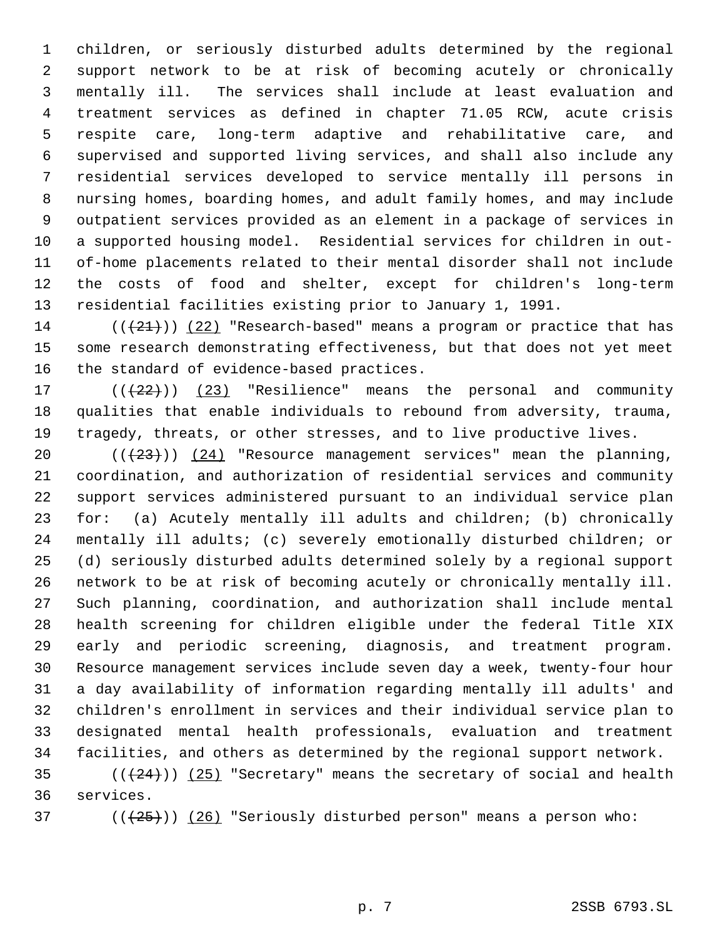children, or seriously disturbed adults determined by the regional support network to be at risk of becoming acutely or chronically mentally ill. The services shall include at least evaluation and treatment services as defined in chapter 71.05 RCW, acute crisis respite care, long-term adaptive and rehabilitative care, and supervised and supported living services, and shall also include any residential services developed to service mentally ill persons in nursing homes, boarding homes, and adult family homes, and may include outpatient services provided as an element in a package of services in a supported housing model. Residential services for children in out- of-home placements related to their mental disorder shall not include the costs of food and shelter, except for children's long-term residential facilities existing prior to January 1, 1991.

14 ( $(\frac{21}{2})$ ) (22) "Research-based" means a program or practice that has some research demonstrating effectiveness, but that does not yet meet the standard of evidence-based practices.

17  $((+22))$   $(23)$  "Resilience" means the personal and community qualities that enable individuals to rebound from adversity, trauma, tragedy, threats, or other stresses, and to live productive lives.

 $((+23))$   $(24)$  "Resource management services" mean the planning, coordination, and authorization of residential services and community support services administered pursuant to an individual service plan for: (a) Acutely mentally ill adults and children; (b) chronically mentally ill adults; (c) severely emotionally disturbed children; or (d) seriously disturbed adults determined solely by a regional support network to be at risk of becoming acutely or chronically mentally ill. Such planning, coordination, and authorization shall include mental health screening for children eligible under the federal Title XIX early and periodic screening, diagnosis, and treatment program. Resource management services include seven day a week, twenty-four hour a day availability of information regarding mentally ill adults' and children's enrollment in services and their individual service plan to designated mental health professionals, evaluation and treatment facilities, and others as determined by the regional support network.

35  $((+24))$   $(25)$  "Secretary" means the secretary of social and health services.

37 ( $(\frac{25}{1})$ ) (26) "Seriously disturbed person" means a person who: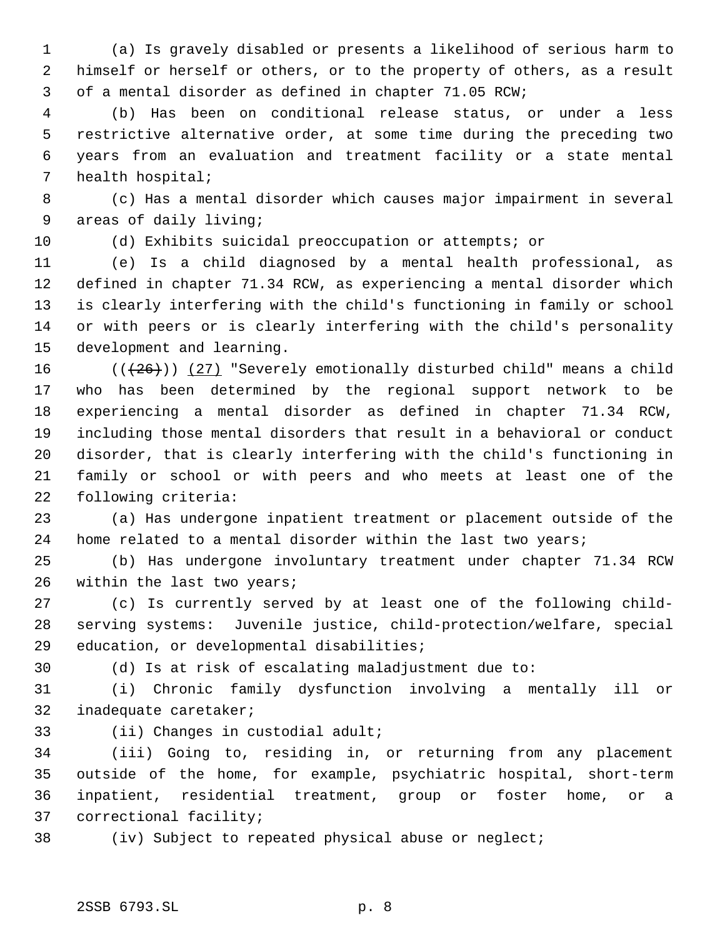(a) Is gravely disabled or presents a likelihood of serious harm to himself or herself or others, or to the property of others, as a result of a mental disorder as defined in chapter 71.05 RCW;

 (b) Has been on conditional release status, or under a less restrictive alternative order, at some time during the preceding two years from an evaluation and treatment facility or a state mental health hospital;

 (c) Has a mental disorder which causes major impairment in several areas of daily living;

(d) Exhibits suicidal preoccupation or attempts; or

 (e) Is a child diagnosed by a mental health professional, as defined in chapter 71.34 RCW, as experiencing a mental disorder which is clearly interfering with the child's functioning in family or school or with peers or is clearly interfering with the child's personality development and learning.

 $((+26))$   $(27)$  "Severely emotionally disturbed child" means a child who has been determined by the regional support network to be experiencing a mental disorder as defined in chapter 71.34 RCW, including those mental disorders that result in a behavioral or conduct disorder, that is clearly interfering with the child's functioning in family or school or with peers and who meets at least one of the following criteria:

 (a) Has undergone inpatient treatment or placement outside of the home related to a mental disorder within the last two years;

 (b) Has undergone involuntary treatment under chapter 71.34 RCW within the last two years;

 (c) Is currently served by at least one of the following child- serving systems: Juvenile justice, child-protection/welfare, special education, or developmental disabilities;

(d) Is at risk of escalating maladjustment due to:

 (i) Chronic family dysfunction involving a mentally ill or inadequate caretaker;

(ii) Changes in custodial adult;

 (iii) Going to, residing in, or returning from any placement outside of the home, for example, psychiatric hospital, short-term inpatient, residential treatment, group or foster home, or a correctional facility;

(iv) Subject to repeated physical abuse or neglect;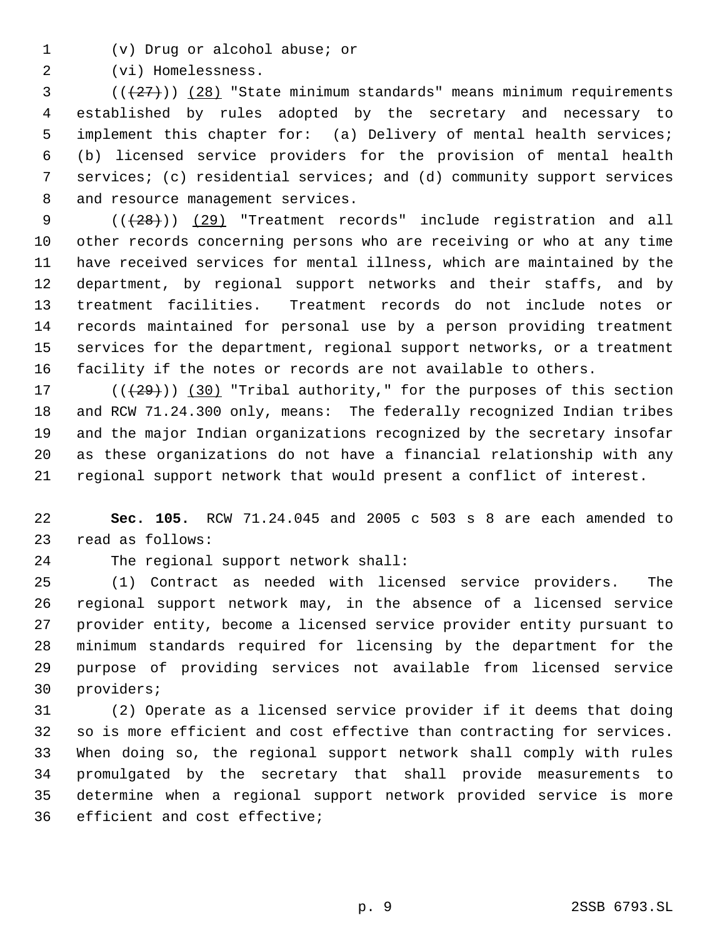(v) Drug or alcohol abuse; or

(vi) Homelessness.

 ( $(\overline{27})$ ) (28) "State minimum standards" means minimum requirements established by rules adopted by the secretary and necessary to implement this chapter for: (a) Delivery of mental health services; (b) licensed service providers for the provision of mental health services; (c) residential services; and (d) community support services and resource management services.

9 (( $(28)$ )) (29) "Treatment records" include registration and all other records concerning persons who are receiving or who at any time have received services for mental illness, which are maintained by the department, by regional support networks and their staffs, and by treatment facilities. Treatment records do not include notes or records maintained for personal use by a person providing treatment services for the department, regional support networks, or a treatment facility if the notes or records are not available to others.

 $((+29))$   $(30)$  "Tribal authority," for the purposes of this section and RCW 71.24.300 only, means: The federally recognized Indian tribes and the major Indian organizations recognized by the secretary insofar as these organizations do not have a financial relationship with any regional support network that would present a conflict of interest.

 **Sec. 105.** RCW 71.24.045 and 2005 c 503 s 8 are each amended to read as follows:

The regional support network shall:

 (1) Contract as needed with licensed service providers. The regional support network may, in the absence of a licensed service provider entity, become a licensed service provider entity pursuant to minimum standards required for licensing by the department for the purpose of providing services not available from licensed service providers;

 (2) Operate as a licensed service provider if it deems that doing so is more efficient and cost effective than contracting for services. When doing so, the regional support network shall comply with rules promulgated by the secretary that shall provide measurements to determine when a regional support network provided service is more efficient and cost effective;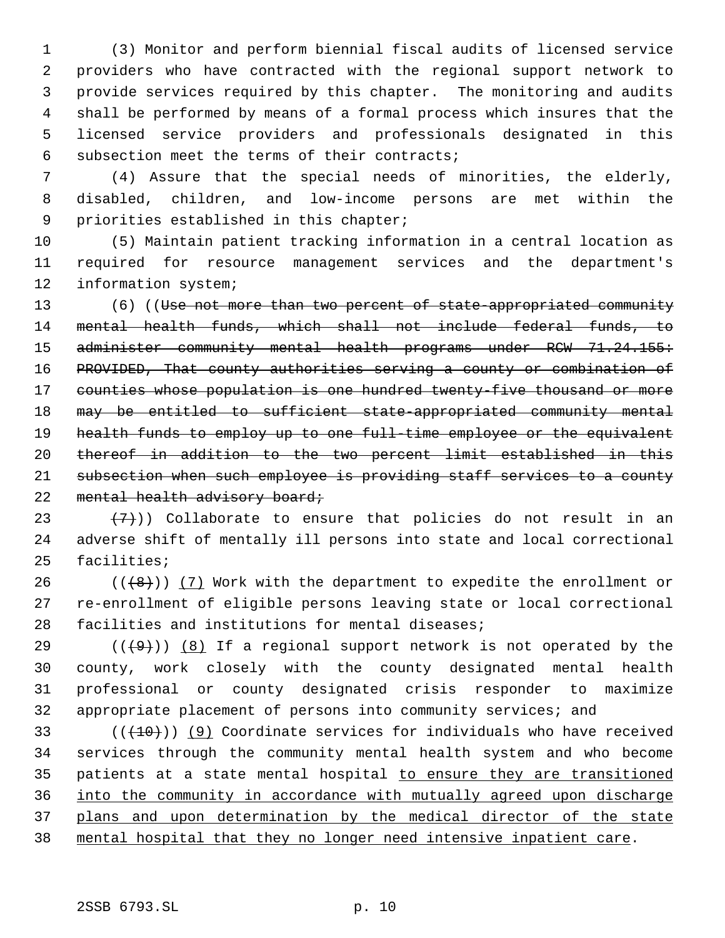(3) Monitor and perform biennial fiscal audits of licensed service providers who have contracted with the regional support network to provide services required by this chapter. The monitoring and audits shall be performed by means of a formal process which insures that the licensed service providers and professionals designated in this subsection meet the terms of their contracts;

 (4) Assure that the special needs of minorities, the elderly, disabled, children, and low-income persons are met within the priorities established in this chapter;

 (5) Maintain patient tracking information in a central location as required for resource management services and the department's information system;

13 (6) ((Use not more than two percent of state-appropriated community mental health funds, which shall not include federal funds, to 15 administer community mental health programs under RCW 71.24.155: PROVIDED, That county authorities serving a county or combination of counties whose population is one hundred twenty-five thousand or more may be entitled to sufficient state-appropriated community mental health funds to employ up to one full-time employee or the equivalent thereof in addition to the two percent limit established in this subsection when such employee is providing staff services to a county 22 mental health advisory board;

23  $(7)$ )) Collaborate to ensure that policies do not result in an adverse shift of mentally ill persons into state and local correctional facilities;

26 ( $($ ( $+$ 8)))  $(7)$  Work with the department to expedite the enrollment or re-enrollment of eligible persons leaving state or local correctional facilities and institutions for mental diseases;

29 ( $(\overline{+9})$ ) (8) If a regional support network is not operated by the county, work closely with the county designated mental health professional or county designated crisis responder to maximize appropriate placement of persons into community services; and

 $((+10))$  (9) Coordinate services for individuals who have received services through the community mental health system and who become patients at a state mental hospital to ensure they are transitioned into the community in accordance with mutually agreed upon discharge plans and upon determination by the medical director of the state mental hospital that they no longer need intensive inpatient care.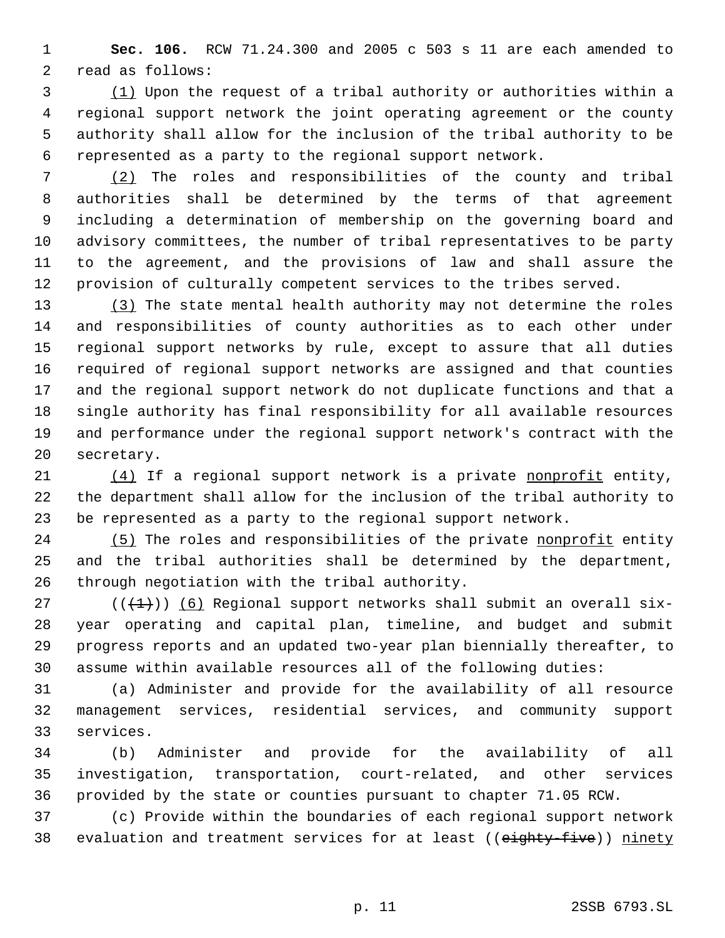**Sec. 106.** RCW 71.24.300 and 2005 c 503 s 11 are each amended to read as follows:

 (1) Upon the request of a tribal authority or authorities within a regional support network the joint operating agreement or the county authority shall allow for the inclusion of the tribal authority to be represented as a party to the regional support network.

 (2) The roles and responsibilities of the county and tribal authorities shall be determined by the terms of that agreement including a determination of membership on the governing board and advisory committees, the number of tribal representatives to be party to the agreement, and the provisions of law and shall assure the provision of culturally competent services to the tribes served.

13 (3) The state mental health authority may not determine the roles and responsibilities of county authorities as to each other under regional support networks by rule, except to assure that all duties required of regional support networks are assigned and that counties and the regional support network do not duplicate functions and that a single authority has final responsibility for all available resources and performance under the regional support network's contract with the secretary.

21 (4) If a regional support network is a private nonprofit entity, the department shall allow for the inclusion of the tribal authority to be represented as a party to the regional support network.

24 (5) The roles and responsibilities of the private nonprofit entity and the tribal authorities shall be determined by the department, through negotiation with the tribal authority.

27 ( $(\overline{+1})$ ) (6) Regional support networks shall submit an overall six- year operating and capital plan, timeline, and budget and submit progress reports and an updated two-year plan biennially thereafter, to assume within available resources all of the following duties:

 (a) Administer and provide for the availability of all resource management services, residential services, and community support services.

 (b) Administer and provide for the availability of all investigation, transportation, court-related, and other services provided by the state or counties pursuant to chapter 71.05 RCW.

 (c) Provide within the boundaries of each regional support network 38 evaluation and treatment services for at least ((eighty-five)) ninety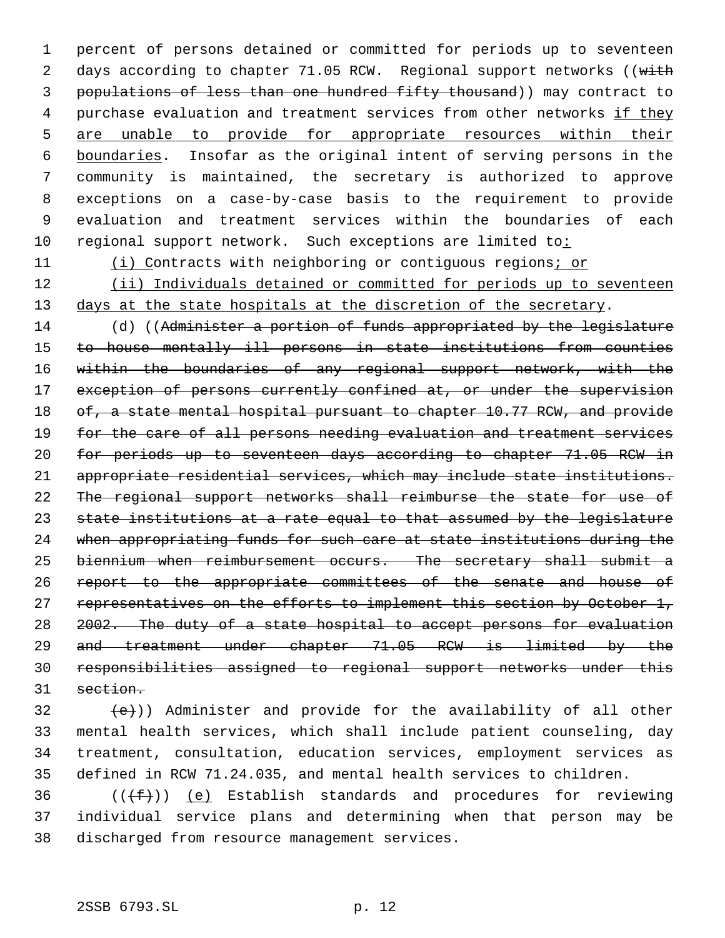1 percent of persons detained or committed for periods up to seventeen 2 days according to chapter 71.05 RCW. Regional support networks ((with 3 populations of less than one hundred fifty thousand)) may contract to 4 purchase evaluation and treatment services from other networks if they 5 are unable to provide for appropriate resources within their 6 boundaries. Insofar as the original intent of serving persons in the 7 community is maintained, the secretary is authorized to approve 8 exceptions on a case-by-case basis to the requirement to provide 9 evaluation and treatment services within the boundaries of each 10 regional support network. Such exceptions are limited to:

11 (i) Contracts with neighboring or contiguous regions; or

12 (ii) Individuals detained or committed for periods up to seventeen 13 days at the state hospitals at the discretion of the secretary.

14 (d) ((Administer a portion of funds appropriated by the legislature to house mentally ill persons in state institutions from counties within the boundaries of any regional support network, with the 17 exception of persons currently confined at, or under the supervision 18 of, a state mental hospital pursuant to chapter 10.77 RCW, and provide 19 for the care of all persons needing evaluation and treatment services for periods up to seventeen days according to chapter 71.05 RCW in appropriate residential services, which may include state institutions. The regional support networks shall reimburse the state for use of state institutions at a rate equal to that assumed by the legislature 24 when appropriating funds for such care at state institutions during the biennium when reimbursement occurs. The secretary shall submit a report to the appropriate committees of the senate and house of 27 representatives on the efforts to implement this section by October 1, 2002. The duty of a state hospital to accept persons for evaluation and treatment under chapter 71.05 RCW is limited by the responsibilities assigned to regional support networks under this 31 section.

 $\{e\})$ ) Administer and provide for the availability of all other mental health services, which shall include patient counseling, day treatment, consultation, education services, employment services as defined in RCW 71.24.035, and mental health services to children.

36  $((\text{#}))$  (e) Establish standards and procedures for reviewing 37 individual service plans and determining when that person may be 38 discharged from resource management services.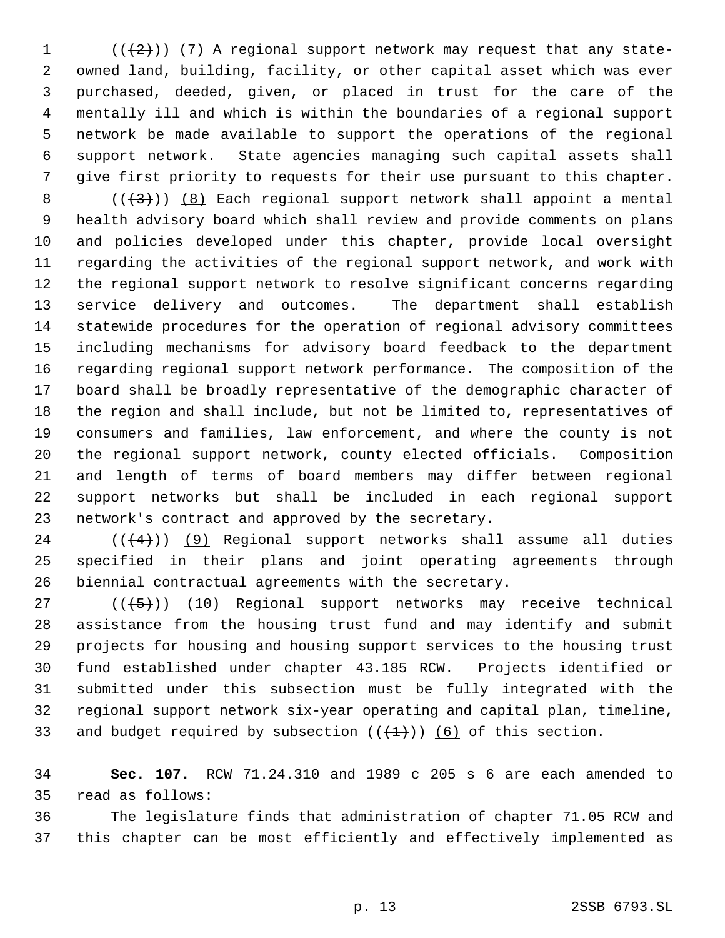$((2))$   $(7)$  A regional support network may request that any state- owned land, building, facility, or other capital asset which was ever purchased, deeded, given, or placed in trust for the care of the mentally ill and which is within the boundaries of a regional support network be made available to support the operations of the regional support network. State agencies managing such capital assets shall give first priority to requests for their use pursuant to this chapter.

 $((+3))$   $(8)$  Each regional support network shall appoint a mental health advisory board which shall review and provide comments on plans and policies developed under this chapter, provide local oversight regarding the activities of the regional support network, and work with the regional support network to resolve significant concerns regarding service delivery and outcomes. The department shall establish statewide procedures for the operation of regional advisory committees including mechanisms for advisory board feedback to the department regarding regional support network performance. The composition of the board shall be broadly representative of the demographic character of the region and shall include, but not be limited to, representatives of consumers and families, law enforcement, and where the county is not the regional support network, county elected officials. Composition and length of terms of board members may differ between regional support networks but shall be included in each regional support network's contract and approved by the secretary.

 ( $(\frac{4}{4})$ ) (9) Regional support networks shall assume all duties specified in their plans and joint operating agreements through biennial contractual agreements with the secretary.

 ( $(\overline{\smash{+5}})$ ) (10) Regional support networks may receive technical assistance from the housing trust fund and may identify and submit projects for housing and housing support services to the housing trust fund established under chapter 43.185 RCW. Projects identified or submitted under this subsection must be fully integrated with the regional support network six-year operating and capital plan, timeline, 33 and budget required by subsection  $((+1))$  (6) of this section.

 **Sec. 107.** RCW 71.24.310 and 1989 c 205 s 6 are each amended to read as follows:

 The legislature finds that administration of chapter 71.05 RCW and this chapter can be most efficiently and effectively implemented as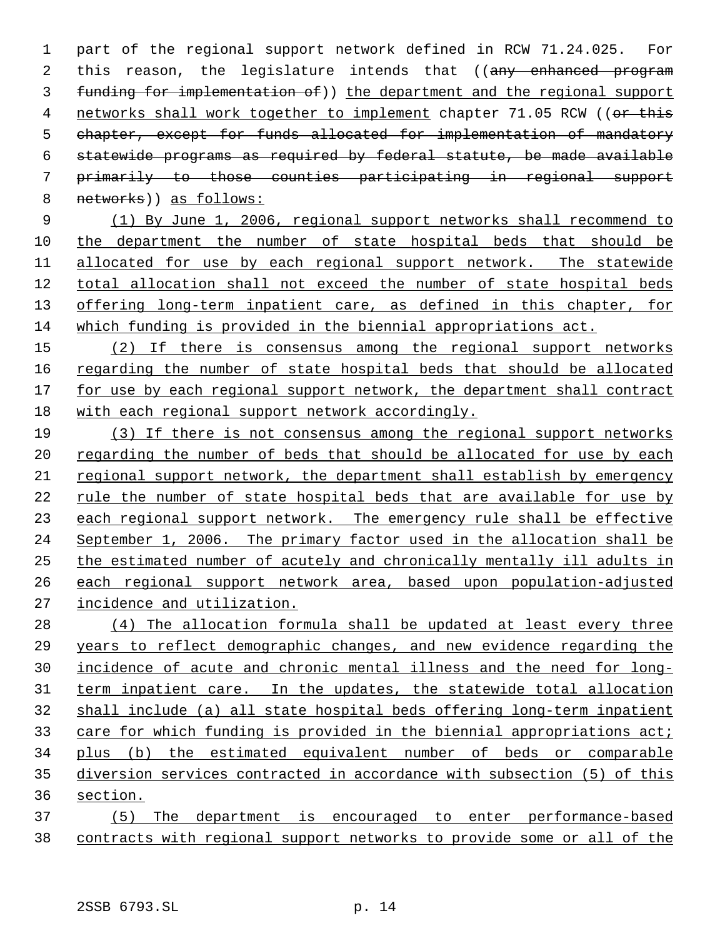part of the regional support network defined in RCW 71.24.025. For 2 this reason, the legislature intends that ((any enhanced program funding for implementation of)) the department and the regional support 4 networks shall work together to implement chapter 71.05 RCW ((or this chapter, except for funds allocated for implementation of mandatory statewide programs as required by federal statute, be made available primarily to those counties participating in regional support 8 networks)) as follows:

 (1) By June 1, 2006, regional support networks shall recommend to the department the number of state hospital beds that should be allocated for use by each regional support network. The statewide total allocation shall not exceed the number of state hospital beds 13 offering long-term inpatient care, as defined in this chapter, for which funding is provided in the biennial appropriations act.

 (2) If there is consensus among the regional support networks 16 regarding the number of state hospital beds that should be allocated for use by each regional support network, the department shall contract with each regional support network accordingly.

 (3) If there is not consensus among the regional support networks 20 regarding the number of beds that should be allocated for use by each regional support network, the department shall establish by emergency rule the number of state hospital beds that are available for use by 23 each regional support network. The emergency rule shall be effective September 1, 2006. The primary factor used in the allocation shall be the estimated number of acutely and chronically mentally ill adults in each regional support network area, based upon population-adjusted incidence and utilization.

28 (4) The allocation formula shall be updated at least every three years to reflect demographic changes, and new evidence regarding the incidence of acute and chronic mental illness and the need for long- term inpatient care. In the updates, the statewide total allocation shall include (a) all state hospital beds offering long-term inpatient 33 care for which funding is provided in the biennial appropriations act; plus (b) the estimated equivalent number of beds or comparable diversion services contracted in accordance with subsection (5) of this section.

 (5) The department is encouraged to enter performance-based contracts with regional support networks to provide some or all of the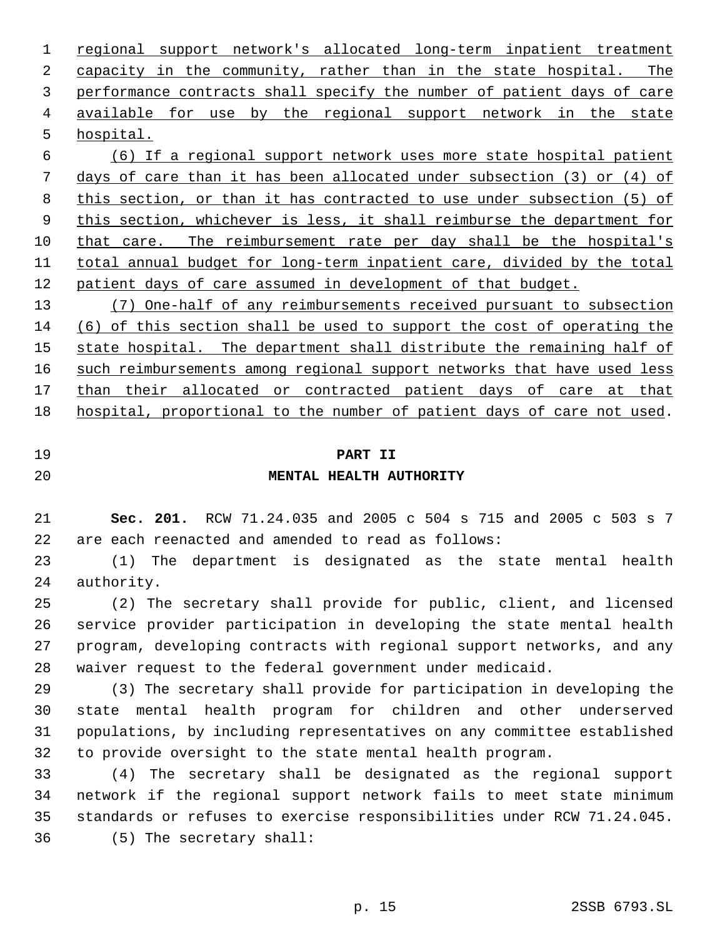regional support network's allocated long-term inpatient treatment capacity in the community, rather than in the state hospital. The performance contracts shall specify the number of patient days of care available for use by the regional support network in the state hospital. (6) If a regional support network uses more state hospital patient

 days of care than it has been allocated under subsection (3) or (4) of this section, or than it has contracted to use under subsection (5) of this section, whichever is less, it shall reimburse the department for that care. The reimbursement rate per day shall be the hospital's total annual budget for long-term inpatient care, divided by the total patient days of care assumed in development of that budget.

 (7) One-half of any reimbursements received pursuant to subsection (6) of this section shall be used to support the cost of operating the 15 state hospital. The department shall distribute the remaining half of 16 such reimbursements among regional support networks that have used less 17 than their allocated or contracted patient days of care at that hospital, proportional to the number of patient days of care not used.

# **PART II**

# **MENTAL HEALTH AUTHORITY**

 **Sec. 201.** RCW 71.24.035 and 2005 c 504 s 715 and 2005 c 503 s 7 are each reenacted and amended to read as follows:

 (1) The department is designated as the state mental health authority.

 (2) The secretary shall provide for public, client, and licensed service provider participation in developing the state mental health program, developing contracts with regional support networks, and any waiver request to the federal government under medicaid.

 (3) The secretary shall provide for participation in developing the state mental health program for children and other underserved populations, by including representatives on any committee established to provide oversight to the state mental health program.

 (4) The secretary shall be designated as the regional support network if the regional support network fails to meet state minimum standards or refuses to exercise responsibilities under RCW 71.24.045. (5) The secretary shall: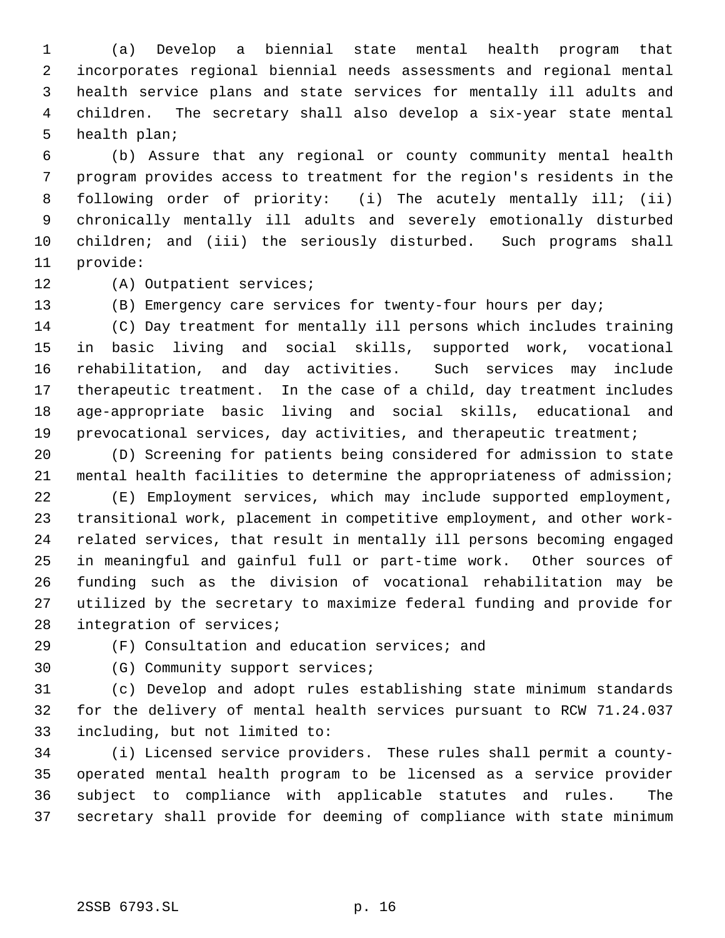(a) Develop a biennial state mental health program that incorporates regional biennial needs assessments and regional mental health service plans and state services for mentally ill adults and children. The secretary shall also develop a six-year state mental health plan;

 (b) Assure that any regional or county community mental health program provides access to treatment for the region's residents in the following order of priority: (i) The acutely mentally ill; (ii) chronically mentally ill adults and severely emotionally disturbed children; and (iii) the seriously disturbed. Such programs shall provide:

(A) Outpatient services;

(B) Emergency care services for twenty-four hours per day;

 (C) Day treatment for mentally ill persons which includes training in basic living and social skills, supported work, vocational rehabilitation, and day activities. Such services may include therapeutic treatment. In the case of a child, day treatment includes age-appropriate basic living and social skills, educational and prevocational services, day activities, and therapeutic treatment;

 (D) Screening for patients being considered for admission to state mental health facilities to determine the appropriateness of admission;

 (E) Employment services, which may include supported employment, transitional work, placement in competitive employment, and other work- related services, that result in mentally ill persons becoming engaged in meaningful and gainful full or part-time work. Other sources of funding such as the division of vocational rehabilitation may be utilized by the secretary to maximize federal funding and provide for integration of services;

(F) Consultation and education services; and

(G) Community support services;

 (c) Develop and adopt rules establishing state minimum standards for the delivery of mental health services pursuant to RCW 71.24.037 including, but not limited to:

 (i) Licensed service providers. These rules shall permit a county- operated mental health program to be licensed as a service provider subject to compliance with applicable statutes and rules. The secretary shall provide for deeming of compliance with state minimum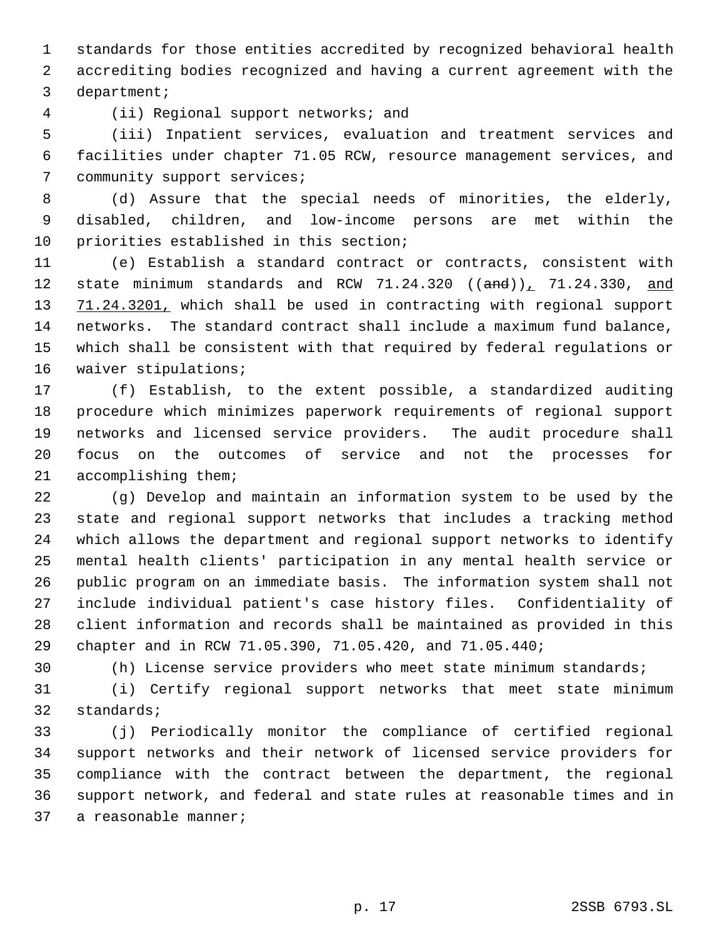standards for those entities accredited by recognized behavioral health accrediting bodies recognized and having a current agreement with the department;

(ii) Regional support networks; and

 (iii) Inpatient services, evaluation and treatment services and facilities under chapter 71.05 RCW, resource management services, and community support services;

 (d) Assure that the special needs of minorities, the elderly, disabled, children, and low-income persons are met within the priorities established in this section;

 (e) Establish a standard contract or contracts, consistent with 12 state minimum standards and RCW  $71.24.320$  ( $(\text{and})$ ),  $71.24.330$ , and 13 71.24.3201, which shall be used in contracting with regional support networks. The standard contract shall include a maximum fund balance, which shall be consistent with that required by federal regulations or waiver stipulations;

 (f) Establish, to the extent possible, a standardized auditing procedure which minimizes paperwork requirements of regional support networks and licensed service providers. The audit procedure shall focus on the outcomes of service and not the processes for accomplishing them;

 (g) Develop and maintain an information system to be used by the state and regional support networks that includes a tracking method which allows the department and regional support networks to identify mental health clients' participation in any mental health service or public program on an immediate basis. The information system shall not include individual patient's case history files. Confidentiality of client information and records shall be maintained as provided in this chapter and in RCW 71.05.390, 71.05.420, and 71.05.440;

(h) License service providers who meet state minimum standards;

 (i) Certify regional support networks that meet state minimum standards;

 (j) Periodically monitor the compliance of certified regional support networks and their network of licensed service providers for compliance with the contract between the department, the regional support network, and federal and state rules at reasonable times and in a reasonable manner;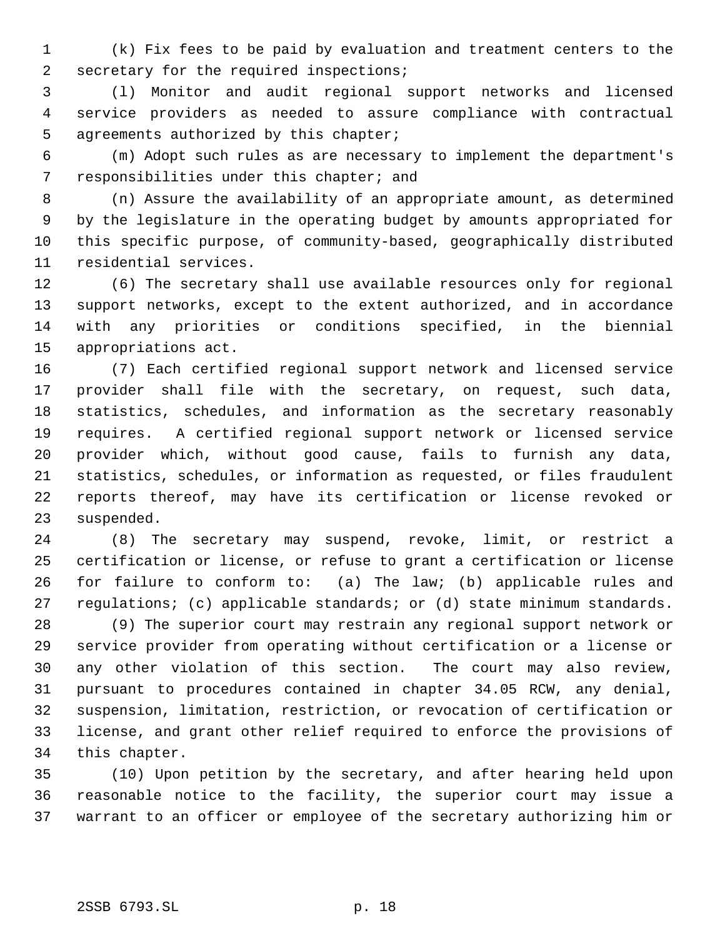(k) Fix fees to be paid by evaluation and treatment centers to the secretary for the required inspections;

 (l) Monitor and audit regional support networks and licensed service providers as needed to assure compliance with contractual agreements authorized by this chapter;

 (m) Adopt such rules as are necessary to implement the department's responsibilities under this chapter; and

 (n) Assure the availability of an appropriate amount, as determined by the legislature in the operating budget by amounts appropriated for this specific purpose, of community-based, geographically distributed residential services.

 (6) The secretary shall use available resources only for regional support networks, except to the extent authorized, and in accordance with any priorities or conditions specified, in the biennial appropriations act.

 (7) Each certified regional support network and licensed service provider shall file with the secretary, on request, such data, statistics, schedules, and information as the secretary reasonably requires. A certified regional support network or licensed service provider which, without good cause, fails to furnish any data, statistics, schedules, or information as requested, or files fraudulent reports thereof, may have its certification or license revoked or suspended.

 (8) The secretary may suspend, revoke, limit, or restrict a certification or license, or refuse to grant a certification or license for failure to conform to: (a) The law; (b) applicable rules and regulations; (c) applicable standards; or (d) state minimum standards.

 (9) The superior court may restrain any regional support network or service provider from operating without certification or a license or any other violation of this section. The court may also review, pursuant to procedures contained in chapter 34.05 RCW, any denial, suspension, limitation, restriction, or revocation of certification or license, and grant other relief required to enforce the provisions of this chapter.

 (10) Upon petition by the secretary, and after hearing held upon reasonable notice to the facility, the superior court may issue a warrant to an officer or employee of the secretary authorizing him or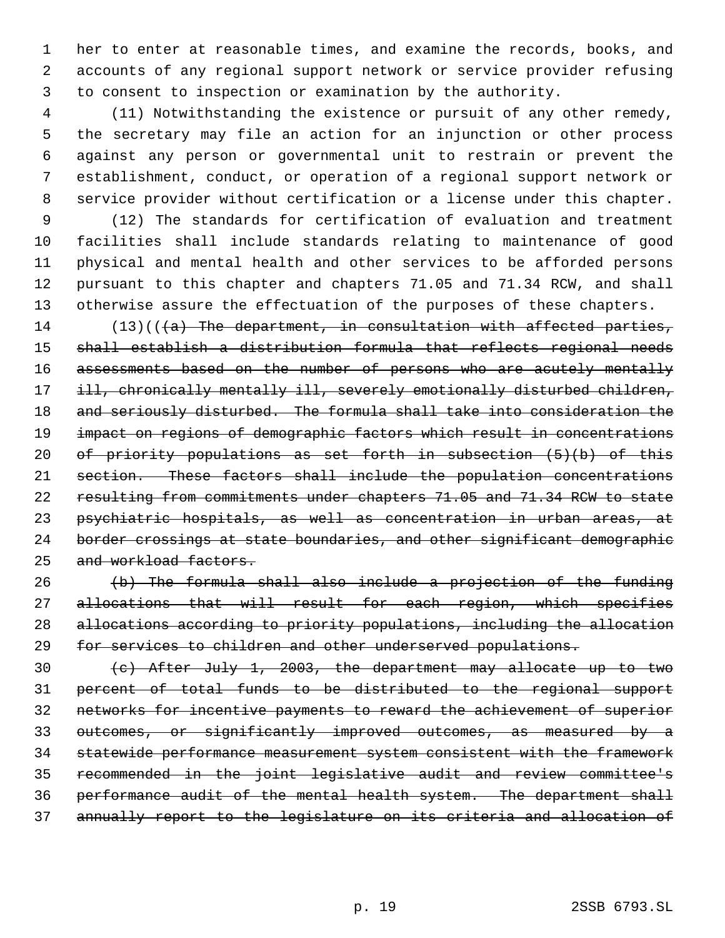her to enter at reasonable times, and examine the records, books, and accounts of any regional support network or service provider refusing to consent to inspection or examination by the authority.

 (11) Notwithstanding the existence or pursuit of any other remedy, the secretary may file an action for an injunction or other process against any person or governmental unit to restrain or prevent the establishment, conduct, or operation of a regional support network or service provider without certification or a license under this chapter.

 (12) The standards for certification of evaluation and treatment facilities shall include standards relating to maintenance of good physical and mental health and other services to be afforded persons pursuant to this chapter and chapters 71.05 and 71.34 RCW, and shall otherwise assure the effectuation of the purposes of these chapters.

14 (13)( $(\overline{a})$  The department, in consultation with affected parties, shall establish a distribution formula that reflects regional needs assessments based on the number of persons who are acutely mentally 17 ill, chronically mentally ill, severely emotionally disturbed children, 18 and seriously disturbed. The formula shall take into consideration the impact on regions of demographic factors which result in concentrations of priority populations as set forth in subsection (5)(b) of this section. These factors shall include the population concentrations resulting from commitments under chapters 71.05 and 71.34 RCW to state psychiatric hospitals, as well as concentration in urban areas, at 24 border crossings at state boundaries, and other significant demographic 25 and workload factors.

 (b) The formula shall also include a projection of the funding 27 allocations that will result for each region, which specifies allocations according to priority populations, including the allocation for services to children and other underserved populations.

 (c) After July 1, 2003, the department may allocate up to two percent of total funds to be distributed to the regional support networks for incentive payments to reward the achievement of superior outcomes, or significantly improved outcomes, as measured by a statewide performance measurement system consistent with the framework recommended in the joint legislative audit and review committee's performance audit of the mental health system. The department shall annually report to the legislature on its criteria and allocation of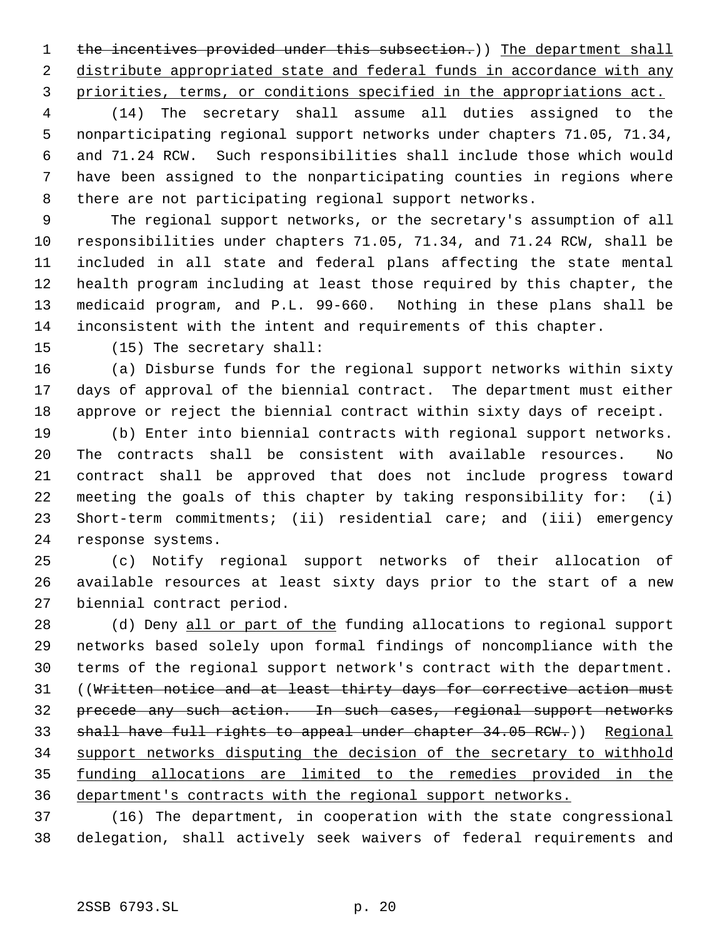1 the incentives provided under this subsection.)) The department shall 2 distribute appropriated state and federal funds in accordance with any priorities, terms, or conditions specified in the appropriations act.

 (14) The secretary shall assume all duties assigned to the nonparticipating regional support networks under chapters 71.05, 71.34, and 71.24 RCW. Such responsibilities shall include those which would have been assigned to the nonparticipating counties in regions where there are not participating regional support networks.

 The regional support networks, or the secretary's assumption of all responsibilities under chapters 71.05, 71.34, and 71.24 RCW, shall be included in all state and federal plans affecting the state mental health program including at least those required by this chapter, the medicaid program, and P.L. 99-660. Nothing in these plans shall be inconsistent with the intent and requirements of this chapter.

(15) The secretary shall:

 (a) Disburse funds for the regional support networks within sixty days of approval of the biennial contract. The department must either approve or reject the biennial contract within sixty days of receipt.

 (b) Enter into biennial contracts with regional support networks. The contracts shall be consistent with available resources. No contract shall be approved that does not include progress toward meeting the goals of this chapter by taking responsibility for: (i) Short-term commitments; (ii) residential care; and (iii) emergency response systems.

 (c) Notify regional support networks of their allocation of available resources at least sixty days prior to the start of a new biennial contract period.

28 (d) Deny all or part of the funding allocations to regional support networks based solely upon formal findings of noncompliance with the terms of the regional support network's contract with the department. 31 ((Written notice and at least thirty days for corrective action must precede any such action. In such cases, regional support networks shall have full rights to appeal under chapter 34.05 RCW.)) Regional support networks disputing the decision of the secretary to withhold funding allocations are limited to the remedies provided in the department's contracts with the regional support networks.

 (16) The department, in cooperation with the state congressional delegation, shall actively seek waivers of federal requirements and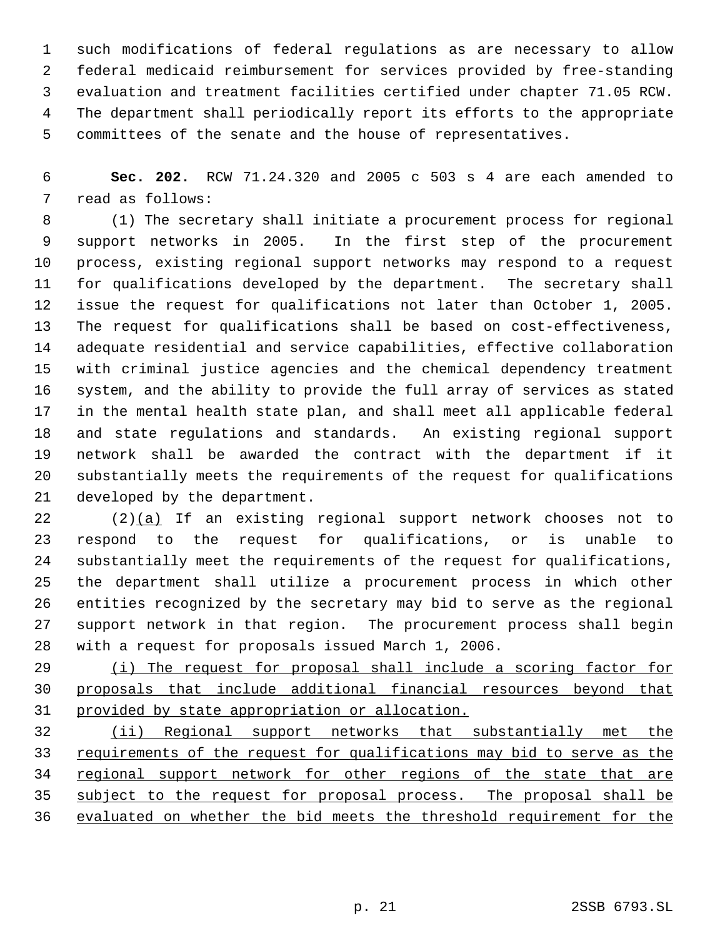such modifications of federal regulations as are necessary to allow federal medicaid reimbursement for services provided by free-standing evaluation and treatment facilities certified under chapter 71.05 RCW. The department shall periodically report its efforts to the appropriate committees of the senate and the house of representatives.

 **Sec. 202.** RCW 71.24.320 and 2005 c 503 s 4 are each amended to read as follows:

 (1) The secretary shall initiate a procurement process for regional support networks in 2005. In the first step of the procurement process, existing regional support networks may respond to a request for qualifications developed by the department. The secretary shall issue the request for qualifications not later than October 1, 2005. The request for qualifications shall be based on cost-effectiveness, adequate residential and service capabilities, effective collaboration with criminal justice agencies and the chemical dependency treatment system, and the ability to provide the full array of services as stated in the mental health state plan, and shall meet all applicable federal and state regulations and standards. An existing regional support network shall be awarded the contract with the department if it substantially meets the requirements of the request for qualifications developed by the department.

 (2)(a) If an existing regional support network chooses not to respond to the request for qualifications, or is unable to substantially meet the requirements of the request for qualifications, the department shall utilize a procurement process in which other entities recognized by the secretary may bid to serve as the regional support network in that region. The procurement process shall begin with a request for proposals issued March 1, 2006.

29 (i) The request for proposal shall include a scoring factor for proposals that include additional financial resources beyond that provided by state appropriation or allocation.

 (ii) Regional support networks that substantially met the 33 requirements of the request for qualifications may bid to serve as the 34 regional support network for other regions of the state that are subject to the request for proposal process. The proposal shall be evaluated on whether the bid meets the threshold requirement for the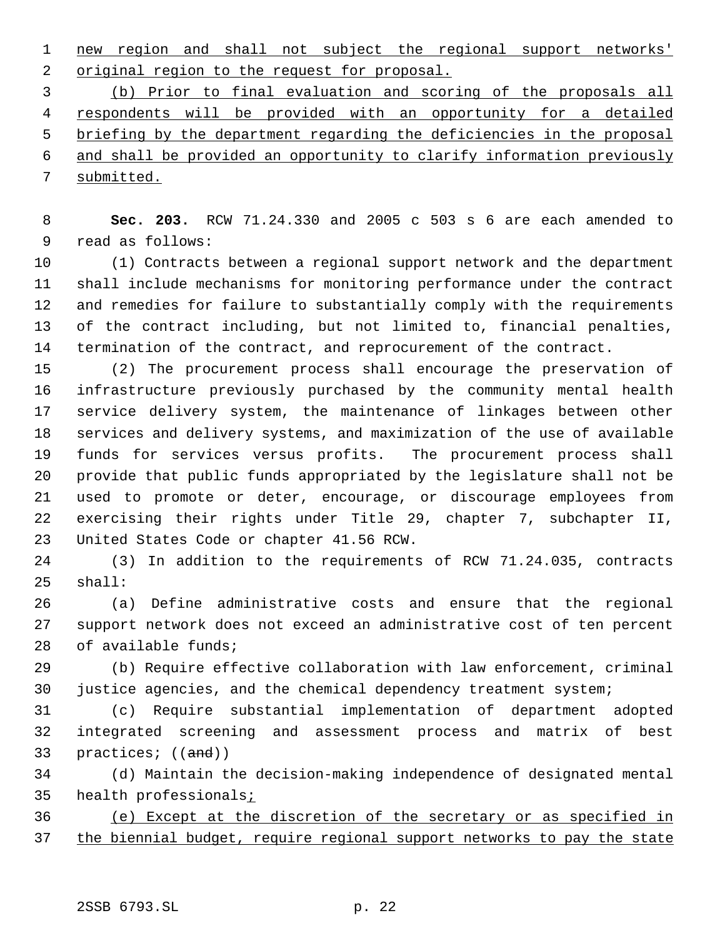new region and shall not subject the regional support networks' 2 original region to the request for proposal.

 (b) Prior to final evaluation and scoring of the proposals all respondents will be provided with an opportunity for a detailed briefing by the department regarding the deficiencies in the proposal and shall be provided an opportunity to clarify information previously submitted.

 **Sec. 203.** RCW 71.24.330 and 2005 c 503 s 6 are each amended to read as follows:

 (1) Contracts between a regional support network and the department shall include mechanisms for monitoring performance under the contract and remedies for failure to substantially comply with the requirements of the contract including, but not limited to, financial penalties, termination of the contract, and reprocurement of the contract.

 (2) The procurement process shall encourage the preservation of infrastructure previously purchased by the community mental health service delivery system, the maintenance of linkages between other services and delivery systems, and maximization of the use of available funds for services versus profits. The procurement process shall provide that public funds appropriated by the legislature shall not be used to promote or deter, encourage, or discourage employees from exercising their rights under Title 29, chapter 7, subchapter II, United States Code or chapter 41.56 RCW.

 (3) In addition to the requirements of RCW 71.24.035, contracts shall:

 (a) Define administrative costs and ensure that the regional support network does not exceed an administrative cost of ten percent of available funds;

 (b) Require effective collaboration with law enforcement, criminal justice agencies, and the chemical dependency treatment system;

 (c) Require substantial implementation of department adopted integrated screening and assessment process and matrix of best 33 practices; ((and))

 (d) Maintain the decision-making independence of designated mental 35 health professionals;

 (e) Except at the discretion of the secretary or as specified in the biennial budget, require regional support networks to pay the state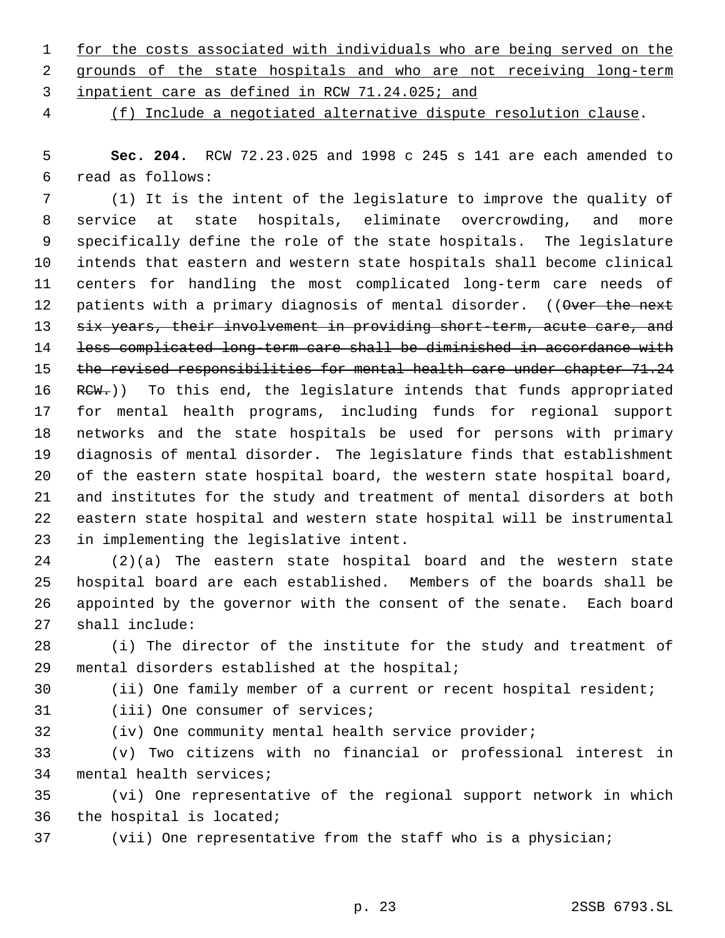- for the costs associated with individuals who are being served on the 2 grounds of the state hospitals and who are not receiving long-term
- inpatient care as defined in RCW 71.24.025; and
- 

(f) Include a negotiated alternative dispute resolution clause.

 **Sec. 204.** RCW 72.23.025 and 1998 c 245 s 141 are each amended to read as follows:

 (1) It is the intent of the legislature to improve the quality of service at state hospitals, eliminate overcrowding, and more specifically define the role of the state hospitals. The legislature intends that eastern and western state hospitals shall become clinical centers for handling the most complicated long-term care needs of 12 patients with a primary diagnosis of mental disorder. ((Over the next 13 six years, their involvement in providing short-term, acute care, and less complicated long-term care shall be diminished in accordance with 15 the revised responsibilities for mental health care under chapter 71.24 16 RCW.)) To this end, the legislature intends that funds appropriated for mental health programs, including funds for regional support networks and the state hospitals be used for persons with primary diagnosis of mental disorder. The legislature finds that establishment of the eastern state hospital board, the western state hospital board, and institutes for the study and treatment of mental disorders at both eastern state hospital and western state hospital will be instrumental in implementing the legislative intent.

 (2)(a) The eastern state hospital board and the western state hospital board are each established. Members of the boards shall be appointed by the governor with the consent of the senate. Each board shall include:

 (i) The director of the institute for the study and treatment of mental disorders established at the hospital;

(ii) One family member of a current or recent hospital resident;

- 
- (iii) One consumer of services;
- 

(iv) One community mental health service provider;

 (v) Two citizens with no financial or professional interest in mental health services;

 (vi) One representative of the regional support network in which the hospital is located;

(vii) One representative from the staff who is a physician;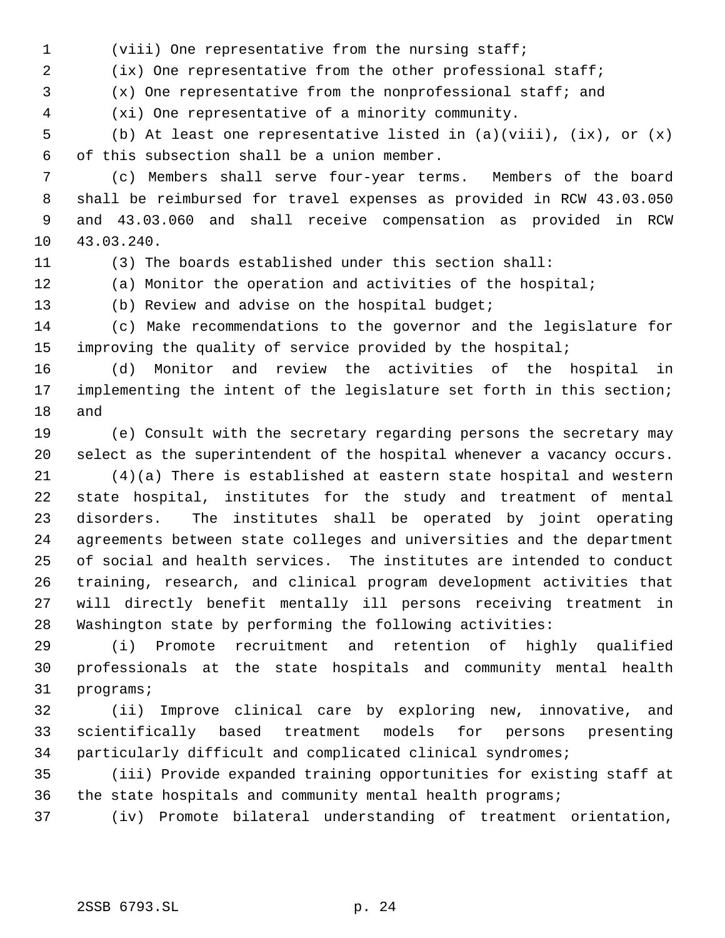(viii) One representative from the nursing staff;

(ix) One representative from the other professional staff;

(x) One representative from the nonprofessional staff; and

(xi) One representative of a minority community.

 (b) At least one representative listed in (a)(viii), (ix), or (x) of this subsection shall be a union member.

 (c) Members shall serve four-year terms. Members of the board shall be reimbursed for travel expenses as provided in RCW 43.03.050 and 43.03.060 and shall receive compensation as provided in RCW 43.03.240.

(3) The boards established under this section shall:

(a) Monitor the operation and activities of the hospital;

(b) Review and advise on the hospital budget;

 (c) Make recommendations to the governor and the legislature for improving the quality of service provided by the hospital;

 (d) Monitor and review the activities of the hospital in implementing the intent of the legislature set forth in this section; and

 (e) Consult with the secretary regarding persons the secretary may select as the superintendent of the hospital whenever a vacancy occurs.

 (4)(a) There is established at eastern state hospital and western state hospital, institutes for the study and treatment of mental disorders. The institutes shall be operated by joint operating agreements between state colleges and universities and the department of social and health services. The institutes are intended to conduct training, research, and clinical program development activities that will directly benefit mentally ill persons receiving treatment in Washington state by performing the following activities:

 (i) Promote recruitment and retention of highly qualified professionals at the state hospitals and community mental health programs;

 (ii) Improve clinical care by exploring new, innovative, and scientifically based treatment models for persons presenting particularly difficult and complicated clinical syndromes;

 (iii) Provide expanded training opportunities for existing staff at the state hospitals and community mental health programs;

(iv) Promote bilateral understanding of treatment orientation,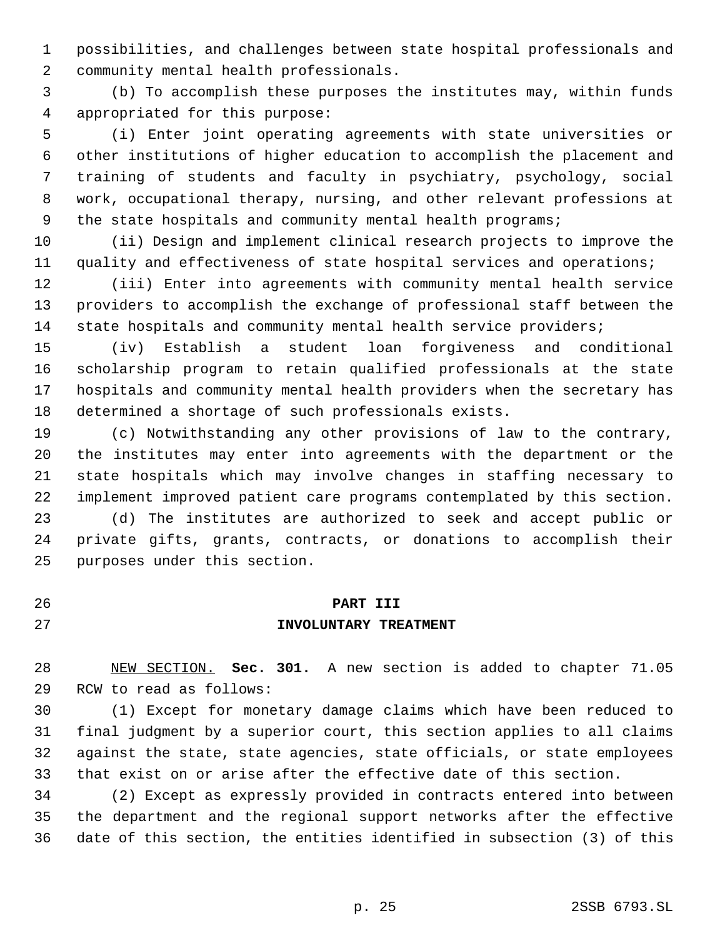possibilities, and challenges between state hospital professionals and community mental health professionals.

 (b) To accomplish these purposes the institutes may, within funds appropriated for this purpose:

 (i) Enter joint operating agreements with state universities or other institutions of higher education to accomplish the placement and training of students and faculty in psychiatry, psychology, social work, occupational therapy, nursing, and other relevant professions at 9 the state hospitals and community mental health programs;

 (ii) Design and implement clinical research projects to improve the quality and effectiveness of state hospital services and operations;

 (iii) Enter into agreements with community mental health service providers to accomplish the exchange of professional staff between the 14 state hospitals and community mental health service providers;

 (iv) Establish a student loan forgiveness and conditional scholarship program to retain qualified professionals at the state hospitals and community mental health providers when the secretary has determined a shortage of such professionals exists.

 (c) Notwithstanding any other provisions of law to the contrary, the institutes may enter into agreements with the department or the state hospitals which may involve changes in staffing necessary to implement improved patient care programs contemplated by this section.

 (d) The institutes are authorized to seek and accept public or private gifts, grants, contracts, or donations to accomplish their purposes under this section.

# **PART III INVOLUNTARY TREATMENT**

 NEW SECTION. **Sec. 301.** A new section is added to chapter 71.05 RCW to read as follows:

 (1) Except for monetary damage claims which have been reduced to final judgment by a superior court, this section applies to all claims against the state, state agencies, state officials, or state employees that exist on or arise after the effective date of this section.

 (2) Except as expressly provided in contracts entered into between the department and the regional support networks after the effective date of this section, the entities identified in subsection (3) of this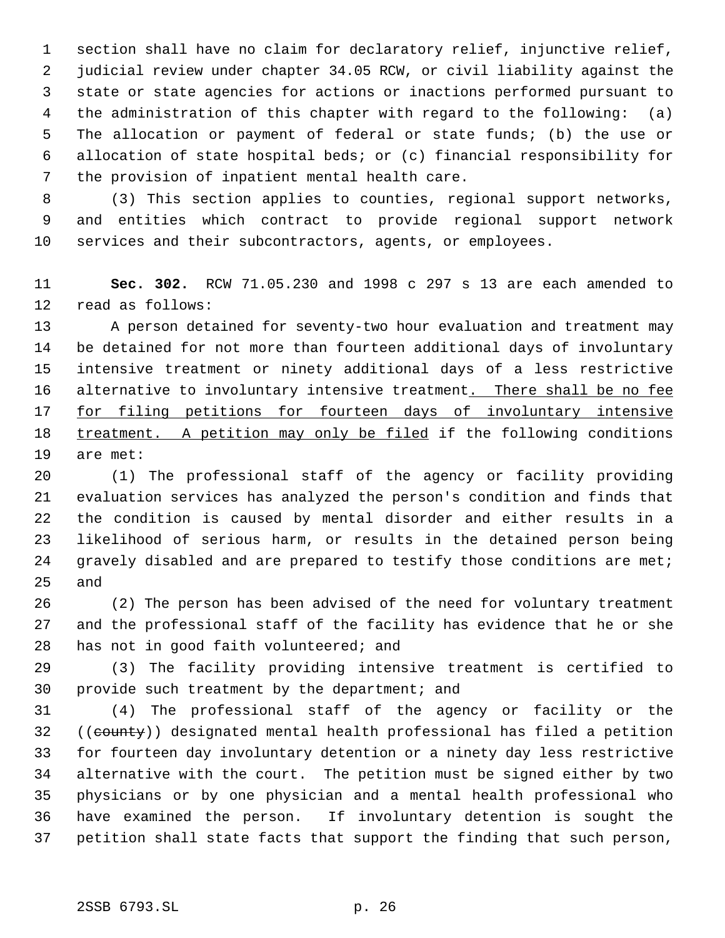section shall have no claim for declaratory relief, injunctive relief, judicial review under chapter 34.05 RCW, or civil liability against the state or state agencies for actions or inactions performed pursuant to the administration of this chapter with regard to the following: (a) The allocation or payment of federal or state funds; (b) the use or allocation of state hospital beds; or (c) financial responsibility for the provision of inpatient mental health care.

 (3) This section applies to counties, regional support networks, and entities which contract to provide regional support network services and their subcontractors, agents, or employees.

 **Sec. 302.** RCW 71.05.230 and 1998 c 297 s 13 are each amended to read as follows:

 A person detained for seventy-two hour evaluation and treatment may be detained for not more than fourteen additional days of involuntary intensive treatment or ninety additional days of a less restrictive 16 alternative to involuntary intensive treatment. There shall be no fee 17 for filing petitions for fourteen days of involuntary intensive treatment. A petition may only be filed if the following conditions are met:

 (1) The professional staff of the agency or facility providing evaluation services has analyzed the person's condition and finds that the condition is caused by mental disorder and either results in a likelihood of serious harm, or results in the detained person being 24 gravely disabled and are prepared to testify those conditions are met; and

 (2) The person has been advised of the need for voluntary treatment and the professional staff of the facility has evidence that he or she has not in good faith volunteered; and

 (3) The facility providing intensive treatment is certified to provide such treatment by the department; and

 (4) The professional staff of the agency or facility or the 32 ((county)) designated mental health professional has filed a petition for fourteen day involuntary detention or a ninety day less restrictive alternative with the court. The petition must be signed either by two physicians or by one physician and a mental health professional who have examined the person. If involuntary detention is sought the petition shall state facts that support the finding that such person,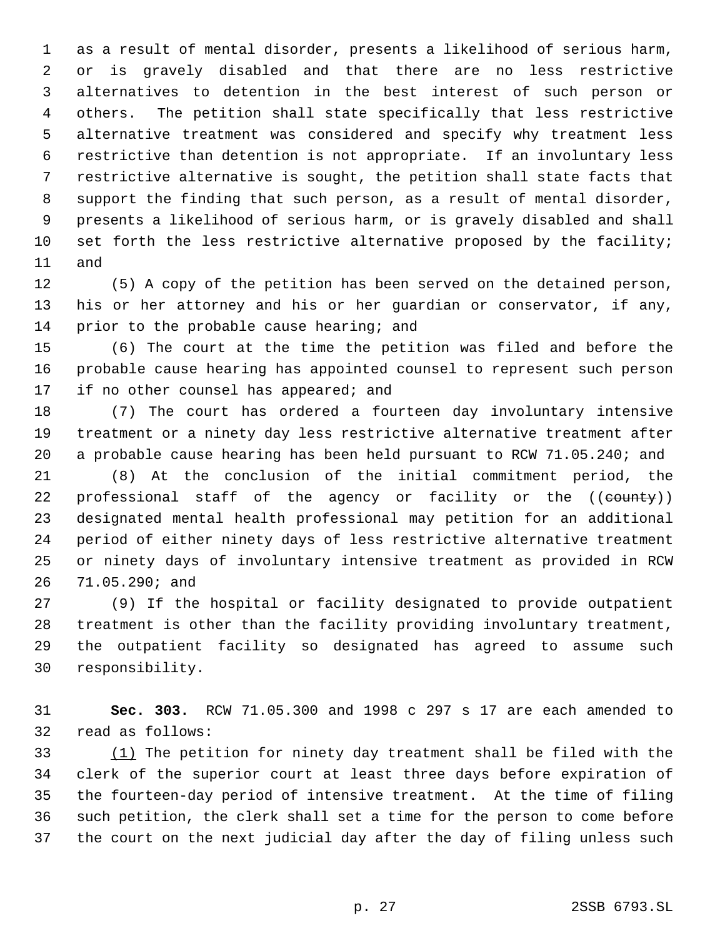as a result of mental disorder, presents a likelihood of serious harm, or is gravely disabled and that there are no less restrictive alternatives to detention in the best interest of such person or others. The petition shall state specifically that less restrictive alternative treatment was considered and specify why treatment less restrictive than detention is not appropriate. If an involuntary less restrictive alternative is sought, the petition shall state facts that support the finding that such person, as a result of mental disorder, presents a likelihood of serious harm, or is gravely disabled and shall set forth the less restrictive alternative proposed by the facility; and

 (5) A copy of the petition has been served on the detained person, his or her attorney and his or her guardian or conservator, if any, 14 prior to the probable cause hearing; and

 (6) The court at the time the petition was filed and before the probable cause hearing has appointed counsel to represent such person 17 if no other counsel has appeared; and

 (7) The court has ordered a fourteen day involuntary intensive treatment or a ninety day less restrictive alternative treatment after a probable cause hearing has been held pursuant to RCW 71.05.240; and

 (8) At the conclusion of the initial commitment period, the 22 professional staff of the agency or facility or the ((county)) designated mental health professional may petition for an additional period of either ninety days of less restrictive alternative treatment or ninety days of involuntary intensive treatment as provided in RCW 71.05.290; and

 (9) If the hospital or facility designated to provide outpatient treatment is other than the facility providing involuntary treatment, the outpatient facility so designated has agreed to assume such responsibility.

 **Sec. 303.** RCW 71.05.300 and 1998 c 297 s 17 are each amended to read as follows:

 (1) The petition for ninety day treatment shall be filed with the clerk of the superior court at least three days before expiration of the fourteen-day period of intensive treatment. At the time of filing such petition, the clerk shall set a time for the person to come before the court on the next judicial day after the day of filing unless such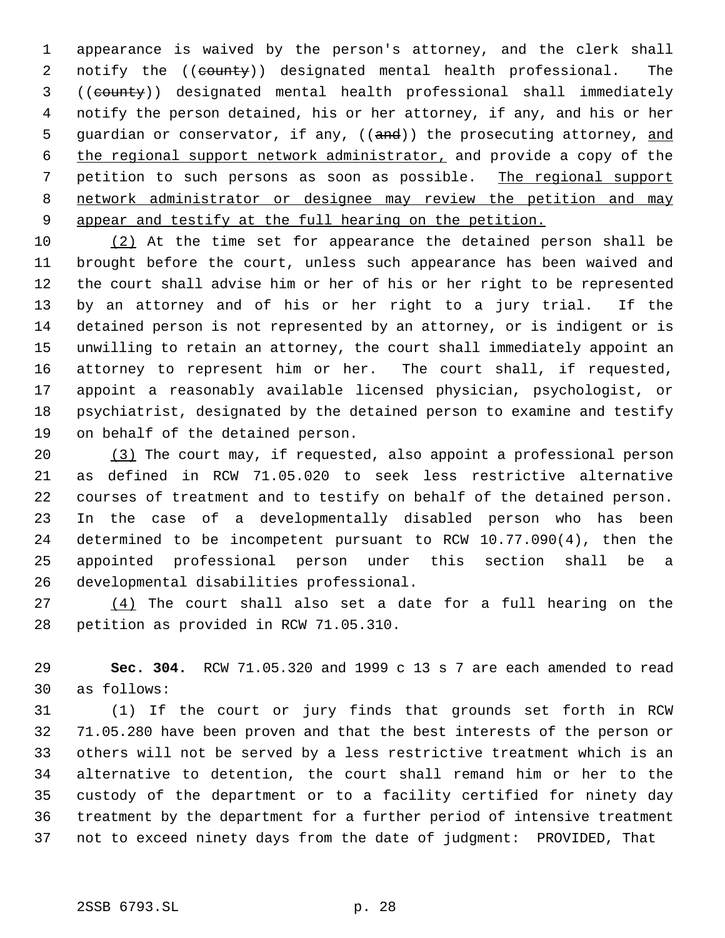appearance is waived by the person's attorney, and the clerk shall 2 notify the ((county)) designated mental health professional. The ((county)) designated mental health professional shall immediately notify the person detained, his or her attorney, if any, and his or her 5 guardian or conservator, if any, ((and)) the prosecuting attorney, and the regional support network administrator, and provide a copy of the petition to such persons as soon as possible. The regional support network administrator or designee may review the petition and may appear and testify at the full hearing on the petition.

 (2) At the time set for appearance the detained person shall be brought before the court, unless such appearance has been waived and the court shall advise him or her of his or her right to be represented by an attorney and of his or her right to a jury trial. If the detained person is not represented by an attorney, or is indigent or is unwilling to retain an attorney, the court shall immediately appoint an attorney to represent him or her. The court shall, if requested, appoint a reasonably available licensed physician, psychologist, or psychiatrist, designated by the detained person to examine and testify on behalf of the detained person.

 (3) The court may, if requested, also appoint a professional person as defined in RCW 71.05.020 to seek less restrictive alternative courses of treatment and to testify on behalf of the detained person. In the case of a developmentally disabled person who has been determined to be incompetent pursuant to RCW 10.77.090(4), then the appointed professional person under this section shall be a developmental disabilities professional.

 $(4)$  The court shall also set a date for a full hearing on the petition as provided in RCW 71.05.310.

 **Sec. 304.** RCW 71.05.320 and 1999 c 13 s 7 are each amended to read as follows:

 (1) If the court or jury finds that grounds set forth in RCW 71.05.280 have been proven and that the best interests of the person or others will not be served by a less restrictive treatment which is an alternative to detention, the court shall remand him or her to the custody of the department or to a facility certified for ninety day treatment by the department for a further period of intensive treatment not to exceed ninety days from the date of judgment: PROVIDED, That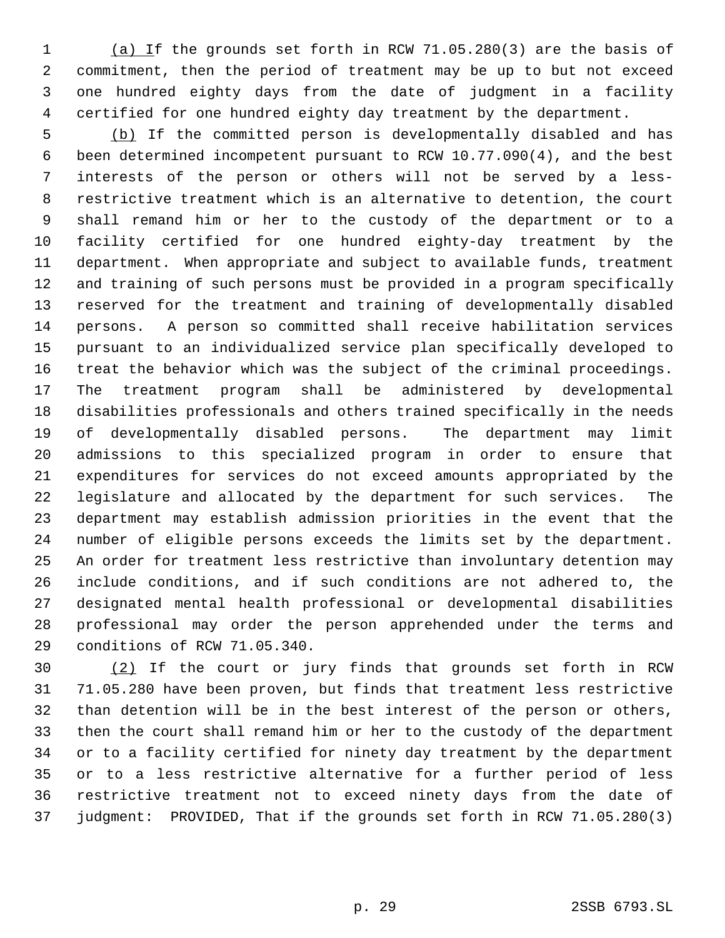1 (a) If the grounds set forth in RCW 71.05.280(3) are the basis of commitment, then the period of treatment may be up to but not exceed one hundred eighty days from the date of judgment in a facility certified for one hundred eighty day treatment by the department.

 (b) If the committed person is developmentally disabled and has been determined incompetent pursuant to RCW 10.77.090(4), and the best interests of the person or others will not be served by a less- restrictive treatment which is an alternative to detention, the court shall remand him or her to the custody of the department or to a facility certified for one hundred eighty-day treatment by the department. When appropriate and subject to available funds, treatment and training of such persons must be provided in a program specifically reserved for the treatment and training of developmentally disabled persons. A person so committed shall receive habilitation services pursuant to an individualized service plan specifically developed to treat the behavior which was the subject of the criminal proceedings. The treatment program shall be administered by developmental disabilities professionals and others trained specifically in the needs of developmentally disabled persons. The department may limit admissions to this specialized program in order to ensure that expenditures for services do not exceed amounts appropriated by the legislature and allocated by the department for such services. The department may establish admission priorities in the event that the number of eligible persons exceeds the limits set by the department. An order for treatment less restrictive than involuntary detention may include conditions, and if such conditions are not adhered to, the designated mental health professional or developmental disabilities professional may order the person apprehended under the terms and conditions of RCW 71.05.340.

 (2) If the court or jury finds that grounds set forth in RCW 71.05.280 have been proven, but finds that treatment less restrictive than detention will be in the best interest of the person or others, then the court shall remand him or her to the custody of the department or to a facility certified for ninety day treatment by the department or to a less restrictive alternative for a further period of less restrictive treatment not to exceed ninety days from the date of judgment: PROVIDED, That if the grounds set forth in RCW 71.05.280(3)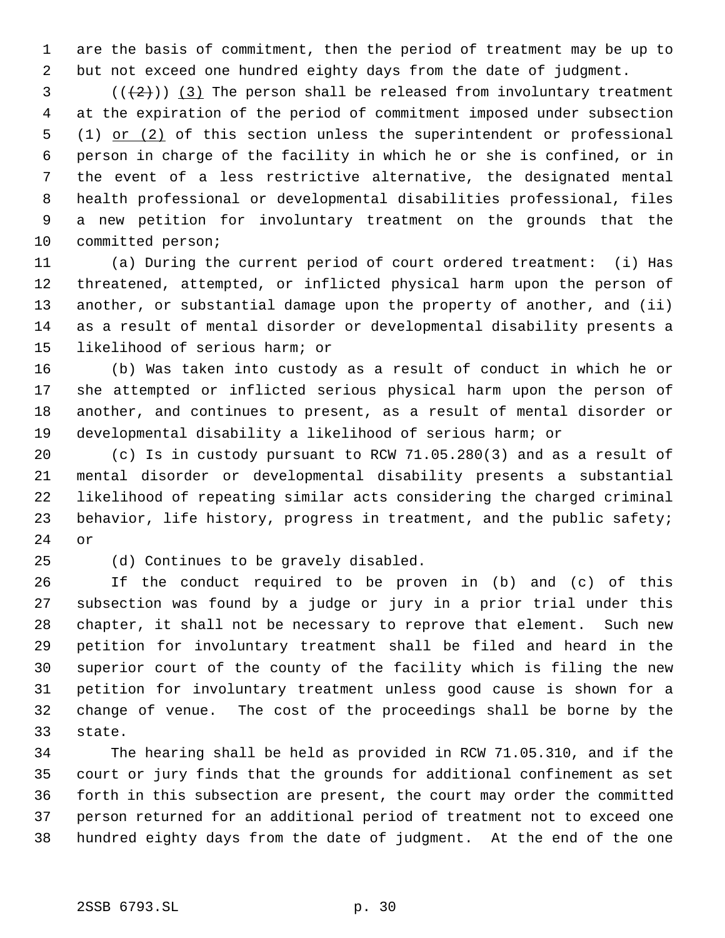are the basis of commitment, then the period of treatment may be up to but not exceed one hundred eighty days from the date of judgment.

 (( $(2)$ )) (3) The person shall be released from involuntary treatment at the expiration of the period of commitment imposed under subsection 5 (1) or (2) of this section unless the superintendent or professional person in charge of the facility in which he or she is confined, or in the event of a less restrictive alternative, the designated mental health professional or developmental disabilities professional, files a new petition for involuntary treatment on the grounds that the committed person;

 (a) During the current period of court ordered treatment: (i) Has threatened, attempted, or inflicted physical harm upon the person of another, or substantial damage upon the property of another, and (ii) as a result of mental disorder or developmental disability presents a likelihood of serious harm; or

 (b) Was taken into custody as a result of conduct in which he or she attempted or inflicted serious physical harm upon the person of another, and continues to present, as a result of mental disorder or developmental disability a likelihood of serious harm; or

 (c) Is in custody pursuant to RCW 71.05.280(3) and as a result of mental disorder or developmental disability presents a substantial likelihood of repeating similar acts considering the charged criminal behavior, life history, progress in treatment, and the public safety; or

(d) Continues to be gravely disabled.

 If the conduct required to be proven in (b) and (c) of this subsection was found by a judge or jury in a prior trial under this chapter, it shall not be necessary to reprove that element. Such new petition for involuntary treatment shall be filed and heard in the superior court of the county of the facility which is filing the new petition for involuntary treatment unless good cause is shown for a change of venue. The cost of the proceedings shall be borne by the state.

 The hearing shall be held as provided in RCW 71.05.310, and if the court or jury finds that the grounds for additional confinement as set forth in this subsection are present, the court may order the committed person returned for an additional period of treatment not to exceed one hundred eighty days from the date of judgment. At the end of the one